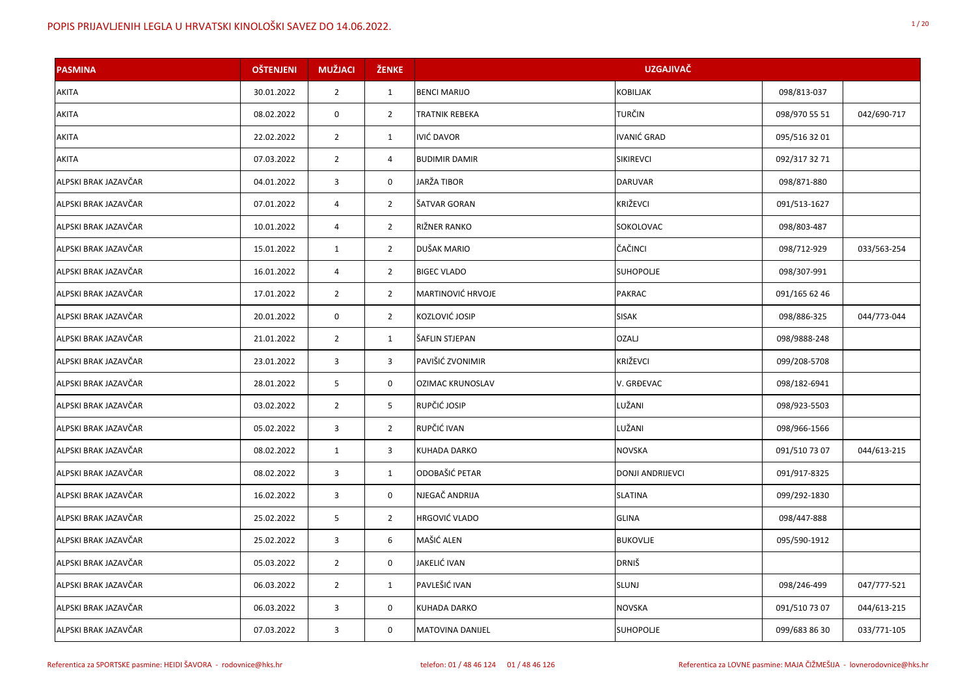| <b>PASMINA</b>       | <b>OŠTENJENI</b> | <b>MUŽJACI</b>          | <b>ŽENKE</b>   |                         | <b>UZGAJIVAČ</b>        |               |             |
|----------------------|------------------|-------------------------|----------------|-------------------------|-------------------------|---------------|-------------|
| <b>AKITA</b>         | 30.01.2022       | $\overline{2}$          | $\mathbf{1}$   | <b>BENCI MARIJO</b>     | <b>KOBILJAK</b>         | 098/813-037   |             |
| <b>AKITA</b>         | 08.02.2022       | $\mathbf 0$             | $\overline{2}$ | <b>TRATNIK REBEKA</b>   | TURČIN                  | 098/970 55 51 | 042/690-717 |
| <b>AKITA</b>         | 22.02.2022       | $\overline{2}$          | $\mathbf{1}$   | <b>IVIĆ DAVOR</b>       | <b>IVANIĆ GRAD</b>      | 095/516 32 01 |             |
| <b>AKITA</b>         | 07.03.2022       | $\overline{2}$          | $\overline{4}$ | <b>BUDIMIR DAMIR</b>    | <b>SIKIREVCI</b>        | 092/317 32 71 |             |
| ALPSKI BRAK JAZAVČAR | 04.01.2022       | $\mathbf{3}$            | $\mathbf 0$    | <b>JARŽA TIBOR</b>      | <b>DARUVAR</b>          | 098/871-880   |             |
| ALPSKI BRAK JAZAVČAR | 07.01.2022       | 4                       | $\overline{2}$ | ŠATVAR GORAN            | <b>KRIŽEVCI</b>         | 091/513-1627  |             |
| ALPSKI BRAK JAZAVČAR | 10.01.2022       | 4                       | $\overline{2}$ | RIŽNER RANKO            | SOKOLOVAC               | 098/803-487   |             |
| ALPSKI BRAK JAZAVČAR | 15.01.2022       | $\mathbf{1}$            | $\overline{2}$ | DUŠAK MARIO             | ČAČINCI                 | 098/712-929   | 033/563-254 |
| ALPSKI BRAK JAZAVČAR | 16.01.2022       | 4                       | $\overline{2}$ | <b>BIGEC VLADO</b>      | <b>SUHOPOLJE</b>        | 098/307-991   |             |
| ALPSKI BRAK JAZAVČAR | 17.01.2022       | $\overline{2}$          | $\overline{2}$ | MARTINOVIĆ HRVOJE       | <b>PAKRAC</b>           | 091/165 62 46 |             |
| ALPSKI BRAK JAZAVČAR | 20.01.2022       | $\boldsymbol{0}$        | $\overline{2}$ | KOZLOVIĆ JOSIP          | <b>SISAK</b>            | 098/886-325   | 044/773-044 |
| ALPSKI BRAK JAZAVČAR | 21.01.2022       | $\overline{2}$          | $\mathbf{1}$   | ŠAFLIN STJEPAN          | <b>OZALJ</b>            | 098/9888-248  |             |
| ALPSKI BRAK JAZAVČAR | 23.01.2022       | $\mathbf{3}$            | $\mathbf{3}$   | PAVIŠIĆ ZVONIMIR        | KRIŽEVCI                | 099/208-5708  |             |
| ALPSKI BRAK JAZAVČAR | 28.01.2022       | 5                       | $\mathbf 0$    | <b>OZIMAC KRUNOSLAV</b> | V. GRĐEVAC              | 098/182-6941  |             |
| ALPSKI BRAK JAZAVČAR | 03.02.2022       | $\overline{2}$          | 5              | RUPČIĆ JOSIP            | LUŽANI                  | 098/923-5503  |             |
| ALPSKI BRAK JAZAVČAR | 05.02.2022       | 3                       | $\overline{2}$ | RUPČIĆ IVAN             | LUŽANI                  | 098/966-1566  |             |
| ALPSKI BRAK JAZAVČAR | 08.02.2022       | $\mathbf{1}$            | $\overline{3}$ | KUHADA DARKO            | <b>NOVSKA</b>           | 091/510 73 07 | 044/613-215 |
| ALPSKI BRAK JAZAVČAR | 08.02.2022       | 3                       | $\mathbf{1}$   | ODOBAŠIĆ PETAR          | <b>DONJI ANDRIJEVCI</b> | 091/917-8325  |             |
| ALPSKI BRAK JAZAVČAR | 16.02.2022       | $\overline{3}$          | $\mathbf 0$    | NJEGAČ ANDRIJA          | <b>SLATINA</b>          | 099/292-1830  |             |
| ALPSKI BRAK JAZAVČAR | 25.02.2022       | 5                       | $\overline{2}$ | HRGOVIĆ VLADO           | <b>GLINA</b>            | 098/447-888   |             |
| ALPSKI BRAK JAZAVČAR | 25.02.2022       | $\mathbf{3}$            | 6              | MAŠIĆ ALEN              | <b>BUKOVLJE</b>         | 095/590-1912  |             |
| ALPSKI BRAK JAZAVČAR | 05.03.2022       | $\overline{2}$          | $\mathbf 0$    | JAKELIĆ IVAN            | DRNIŠ                   |               |             |
| ALPSKI BRAK JAZAVČAR | 06.03.2022       | $\overline{2}$          | $\mathbf{1}$   | PAVLEŠIĆ IVAN           | <b>SLUNJ</b>            | 098/246-499   | 047/777-521 |
| ALPSKI BRAK JAZAVČAR | 06.03.2022       | $\overline{3}$          | $\mathbf 0$    | KUHADA DARKO            | <b>NOVSKA</b>           | 091/510 73 07 | 044/613-215 |
| ALPSKI BRAK JAZAVČAR | 07.03.2022       | $\overline{\mathbf{3}}$ | $\mathbf 0$    | MATOVINA DANIJEL        | <b>SUHOPOLJE</b>        | 099/683 86 30 | 033/771-105 |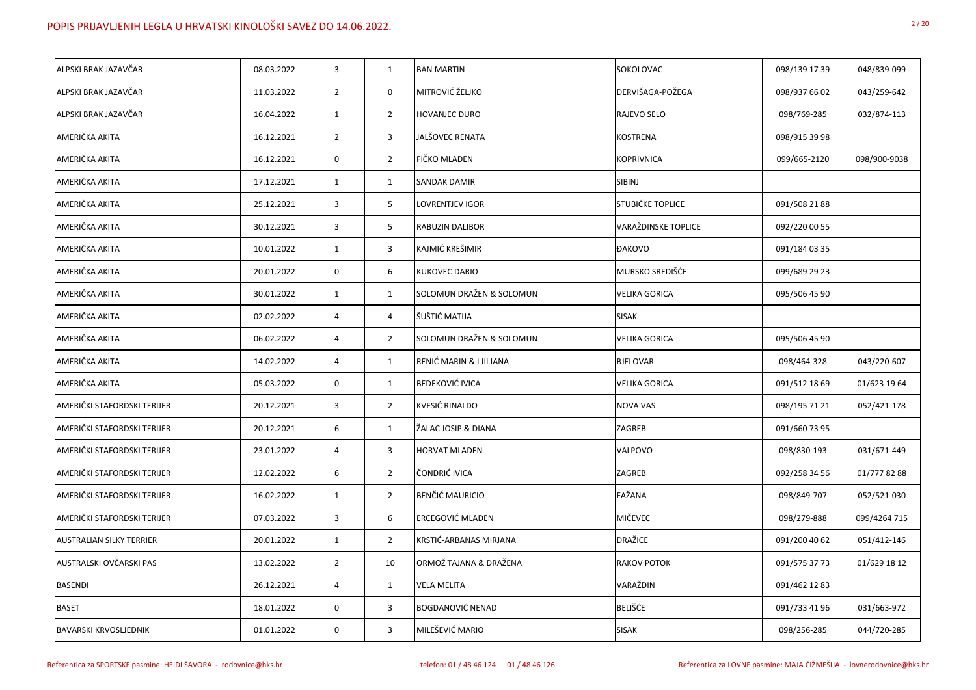| ALPSKI BRAK JAZAVČAR            | 08.03.2022 | 3              | $\mathbf{1}$   | <b>BAN MARTIN</b>        | SOKOLOVAC                  | 098/139 17 39 | 048/839-099  |
|---------------------------------|------------|----------------|----------------|--------------------------|----------------------------|---------------|--------------|
| ALPSKI BRAK JAZAVČAR            | 11.03.2022 | $\overline{2}$ | $\mathbf 0$    | <b>MITROVIĆ ŽELJKO</b>   | DERVIŠAGA-POŽEGA           | 098/937 66 02 | 043/259-642  |
| ALPSKI BRAK JAZAVČAR            | 16.04.2022 | $\mathbf{1}$   | $\overline{2}$ | <b>HOVANJEC ĐURO</b>     | <b>RAJEVO SELO</b>         | 098/769-285   | 032/874-113  |
| <b>AMERIČKA AKITA</b>           | 16.12.2021 | $\overline{2}$ | $\mathbf{3}$   | JALŠOVEC RENATA          | <b>KOSTRENA</b>            | 098/915 39 98 |              |
| AMERIČKA AKITA                  | 16.12.2021 | 0              | $\overline{2}$ | FIČKO MLADEN             | <b>KOPRIVNICA</b>          | 099/665-2120  | 098/900-9038 |
| AMERIČKA AKITA                  | 17.12.2021 | $\mathbf 1$    | $\mathbf{1}$   | <b>SANDAK DAMIR</b>      | SIBINJ                     |               |              |
| AMERIČKA AKITA                  | 25.12.2021 | 3              | 5              | <b>LOVRENTJEV IGOR</b>   | <b>STUBIČKE TOPLICE</b>    | 091/508 21 88 |              |
| AMERIČKA AKITA                  | 30.12.2021 | 3              | 5              | RABUZIN DALIBOR          | <b>VARAŽDINSKE TOPLICE</b> | 092/220 00 55 |              |
| AMERIČKA AKITA                  | 10.01.2022 | $\mathbf{1}$   | $\overline{3}$ | KAJMIĆ KREŠIMIR          | <b>ĐAKOVO</b>              | 091/184 03 35 |              |
| AMERIČKA AKITA                  | 20.01.2022 | 0              | 6              | <b>KUKOVEC DARIO</b>     | <b>MURSKO SREDIŠĆE</b>     | 099/689 29 23 |              |
| <b>AMERIČKA AKITA</b>           | 30.01.2022 | $\mathbf{1}$   | $\mathbf{1}$   | SOLOMUN DRAŽEN & SOLOMUN | <b>VELIKA GORICA</b>       | 095/506 45 90 |              |
| AMERIČKA AKITA                  | 02.02.2022 | 4              | $\overline{4}$ | ŠUŠTIĆ MATIJA            | <b>SISAK</b>               |               |              |
| <b>AMERIČKA AKITA</b>           | 06.02.2022 | 4              | $\overline{2}$ | SOLOMUN DRAŽEN & SOLOMUN | <b>VELIKA GORICA</b>       | 095/506 45 90 |              |
| AMERIČKA AKITA                  | 14.02.2022 | 4              | $\mathbf{1}$   | RENIĆ MARIN & LJILJANA   | <b>BJELOVAR</b>            | 098/464-328   | 043/220-607  |
| AMERIČKA AKITA                  | 05.03.2022 | 0              | 1              | <b>BEDEKOVIĆ IVICA</b>   | <b>VELIKA GORICA</b>       | 091/512 18 69 | 01/623 19 64 |
| AMERIČKI STAFORDSKI TERIJER     | 20.12.2021 | 3              | $\overline{2}$ | <b>KVESIĆ RINALDO</b>    | <b>NOVA VAS</b>            | 098/195 71 21 | 052/421-178  |
| AMERIČKI STAFORDSKI TERIJER     | 20.12.2021 | 6              | 1              | ŽALAC JOSIP & DIANA      | <b>ZAGREB</b>              | 091/660 73 95 |              |
| AMERIČKI STAFORDSKI TERIJER     | 23.01.2022 | 4              | $\mathbf{3}$   | <b>HORVAT MLADEN</b>     | VALPOVO                    | 098/830-193   | 031/671-449  |
| AMERIČKI STAFORDSKI TERIJER     | 12.02.2022 | 6              | $\overline{2}$ | ČONDRIĆ IVICA            | <b>ZAGREB</b>              | 092/258 34 56 | 01/777 82 88 |
| AMERIČKI STAFORDSKI TERIJER     | 16.02.2022 | $\mathbf{1}$   | $\overline{2}$ | <b>BENČIĆ MAURICIO</b>   | FAŽANA                     | 098/849-707   | 052/521-030  |
| AMERIČKI STAFORDSKI TERIJER     | 07.03.2022 | 3              | 6              | <b>ERCEGOVIĆ MLADEN</b>  | MIČEVEC                    | 098/279-888   | 099/4264 715 |
| <b>AUSTRALIAN SILKY TERRIER</b> | 20.01.2022 | $\mathbf{1}$   | $\overline{2}$ | KRSTIĆ-ARBANAS MIRJANA   | <b>DRAŽICE</b>             | 091/200 40 62 | 051/412-146  |
| AUSTRALSKI OVČARSKI PAS         | 13.02.2022 | $\overline{2}$ | 10             | ORMOŽ TAJANA & DRAŽENA   | <b>RAKOV POTOK</b>         | 091/575 37 73 | 01/629 18 12 |
| <b>BASENĐI</b>                  | 26.12.2021 | 4              | $\mathbf{1}$   | <b>VELA MELITA</b>       | VARAŽDIN                   | 091/462 12 83 |              |
| <b>BASET</b>                    | 18.01.2022 | $\mathbf 0$    | $\mathbf{3}$   | <b>BOGDANOVIĆ NENAD</b>  | <b>BELIŠĆE</b>             | 091/733 41 96 | 031/663-972  |
| <b>BAVARSKI KRVOSLJEDNIK</b>    | 01.01.2022 | 0              | $\mathbf{3}$   | MILEŠEVIĆ MARIO          | <b>SISAK</b>               | 098/256-285   | 044/720-285  |
|                                 |            |                |                |                          |                            |               |              |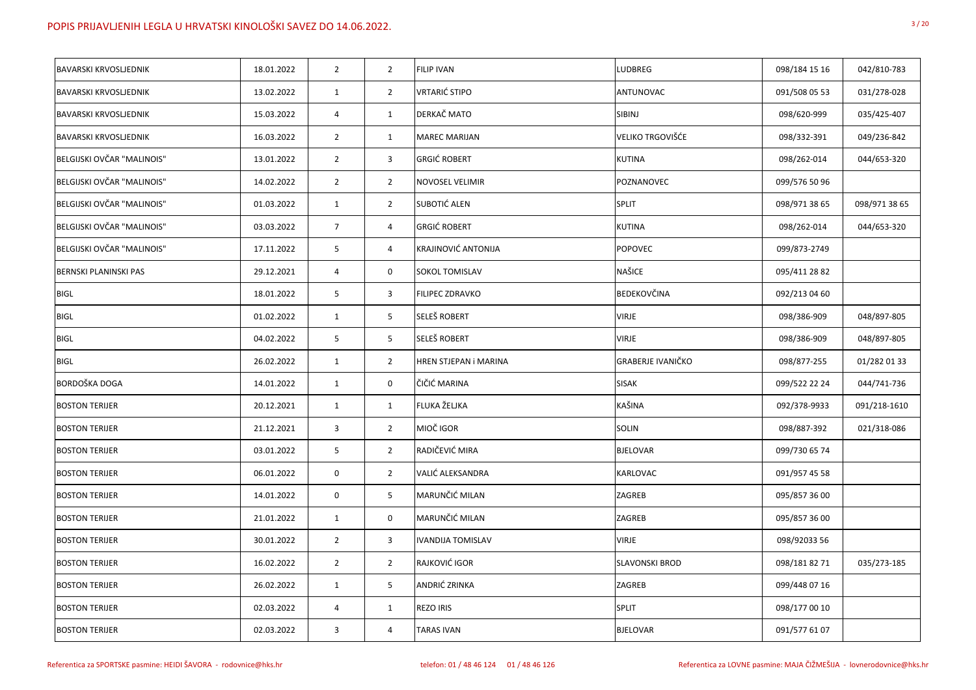| <b>BAVARSKI KRVOSLJEDNIK</b> | 18.01.2022 | $\overline{2}$ | $\overline{2}$ | <b>FILIP IVAN</b>          | <b>LUDBREG</b>           | 098/184 15 16 | 042/810-783   |
|------------------------------|------------|----------------|----------------|----------------------------|--------------------------|---------------|---------------|
| <b>BAVARSKI KRVOSLJEDNIK</b> | 13.02.2022 | $\mathbf{1}$   | $\overline{2}$ | <b>VRTARIĆ STIPO</b>       | ANTUNOVAC                | 091/508 05 53 | 031/278-028   |
| <b>BAVARSKI KRVOSLJEDNIK</b> | 15.03.2022 | 4              | $\mathbf{1}$   | DERKAČ MATO                | SIBINJ                   | 098/620-999   | 035/425-407   |
| <b>BAVARSKI KRVOSLJEDNIK</b> | 16.03.2022 | $\overline{2}$ | $\mathbf{1}$   | <b>MAREC MARIJAN</b>       | <b>VELIKO TRGOVIŠĆE</b>  | 098/332-391   | 049/236-842   |
| BELGIJSKI OVČAR "MALINOIS"   | 13.01.2022 | $\overline{2}$ | $\overline{3}$ | <b>GRGIĆ ROBERT</b>        | <b>KUTINA</b>            | 098/262-014   | 044/653-320   |
| BELGIJSKI OVČAR "MALINOIS"   | 14.02.2022 | $\overline{2}$ | $\overline{2}$ | <b>NOVOSEL VELIMIR</b>     | POZNANOVEC               | 099/576 50 96 |               |
| BELGIJSKI OVČAR "MALINOIS"   | 01.03.2022 | $\mathbf{1}$   | $\overline{2}$ | <b>SUBOTIĆ ALEN</b>        | <b>SPLIT</b>             | 098/971 38 65 | 098/971 38 65 |
| BELGIJSKI OVČAR "MALINOIS"   | 03.03.2022 | $\overline{7}$ | $\overline{4}$ | <b>GRGIĆ ROBERT</b>        | <b>KUTINA</b>            | 098/262-014   | 044/653-320   |
| BELGIJSKI OVČAR "MALINOIS"   | 17.11.2022 | 5              | $\overline{4}$ | <b>KRAJINOVIĆ ANTONIJA</b> | <b>POPOVEC</b>           | 099/873-2749  |               |
| <b>BERNSKI PLANINSKI PAS</b> | 29.12.2021 | 4              | $\mathbf 0$    | <b>SOKOL TOMISLAV</b>      | <b>NAŠICE</b>            | 095/411 28 82 |               |
| <b>BIGL</b>                  | 18.01.2022 | 5              | $\overline{3}$ | <b>FILIPEC ZDRAVKO</b>     | BEDEKOVČINA              | 092/213 04 60 |               |
| <b>BIGL</b>                  | 01.02.2022 | $\mathbf{1}$   | 5              | <b>SELEŠ ROBERT</b>        | <b>VIRJE</b>             | 098/386-909   | 048/897-805   |
| <b>BIGL</b>                  | 04.02.2022 | 5              | 5              | <b>SELEŠ ROBERT</b>        | <b>VIRJE</b>             | 098/386-909   | 048/897-805   |
| <b>BIGL</b>                  | 26.02.2022 | $\mathbf{1}$   | $\overline{2}$ | HREN STJEPAN i MARINA      | <b>GRABERJE IVANIČKO</b> | 098/877-255   | 01/282 01 33  |
| <b>BORDOŠKA DOGA</b>         | 14.01.2022 | $\mathbf{1}$   | $\mathbf 0$    | ČIČIĆ MARINA               | <b>SISAK</b>             | 099/522 22 24 | 044/741-736   |
| <b>BOSTON TERIJER</b>        | 20.12.2021 | $\mathbf{1}$   | $\mathbf{1}$   | FLUKA ŽELJKA               | KAŠINA                   | 092/378-9933  | 091/218-1610  |
| <b>BOSTON TERIJER</b>        | 21.12.2021 | 3              | $\overline{2}$ | MIOČ IGOR                  | <b>SOLIN</b>             | 098/887-392   | 021/318-086   |
| <b>BOSTON TERIJER</b>        | 03.01.2022 | $\sqrt{5}$     | $\overline{2}$ | RADIČEVIĆ MIRA             | <b>BJELOVAR</b>          | 099/730 65 74 |               |
| <b>BOSTON TERIJER</b>        | 06.01.2022 | $\mathbf 0$    | $\overline{2}$ | VALIĆ ALEKSANDRA           | KARLOVAC                 | 091/957 45 58 |               |
| <b>BOSTON TERIJER</b>        | 14.01.2022 | $\mathbf 0$    | 5              | MARUNČIĆ MILAN             | <b>ZAGREB</b>            | 095/857 36 00 |               |
| <b>BOSTON TERIJER</b>        | 21.01.2022 | $\mathbf{1}$   | $\mathbf 0$    | MARUNČIĆ MILAN             | <b>ZAGREB</b>            | 095/857 36 00 |               |
| <b>BOSTON TERIJER</b>        | 30.01.2022 | $\overline{2}$ | $\overline{3}$ | <b>IVANDIJA TOMISLAV</b>   | <b>VIRJE</b>             | 098/92033 56  |               |
| <b>BOSTON TERIJER</b>        | 16.02.2022 | $\overline{2}$ | $\overline{2}$ | RAJKOVIĆ IGOR              | <b>SLAVONSKI BROD</b>    | 098/181 82 71 | 035/273-185   |
| <b>BOSTON TERIJER</b>        | 26.02.2022 | $\mathbf{1}$   | 5              | ANDRIĆ ZRINKA              | ZAGREB                   | 099/448 07 16 |               |
| <b>BOSTON TERIJER</b>        | 02.03.2022 | $\overline{a}$ | $\mathbf{1}$   | <b>REZO IRIS</b>           | <b>SPLIT</b>             | 098/177 00 10 |               |
| <b>BOSTON TERIJER</b>        | 02.03.2022 | $\mathbf{3}$   | 4              | <b>TARAS IVAN</b>          | <b>BJELOVAR</b>          | 091/577 61 07 |               |
|                              |            |                |                |                            |                          |               |               |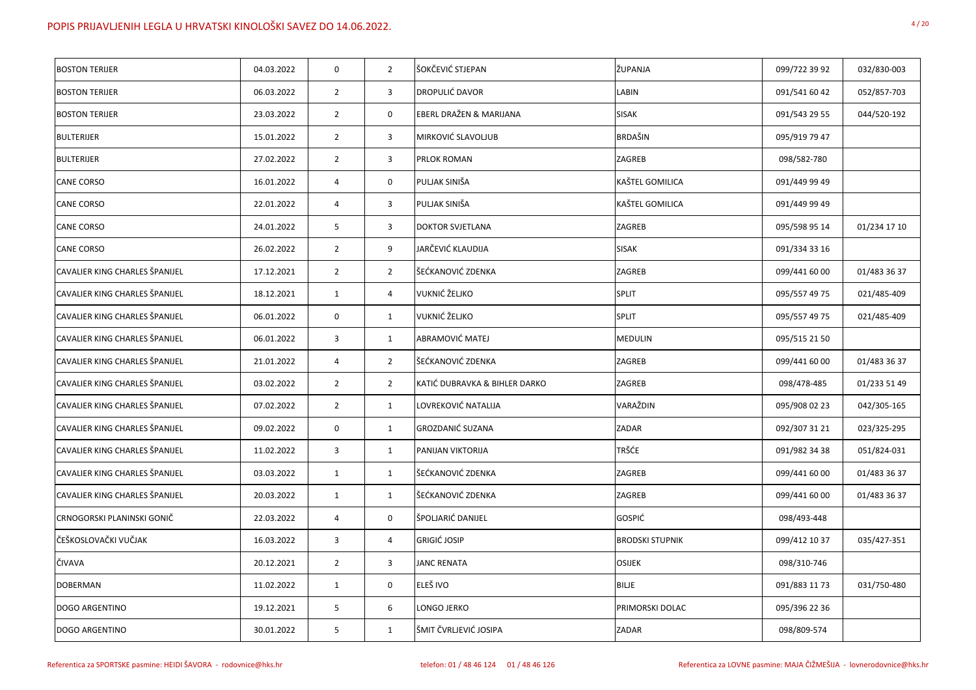| <b>BOSTON TERIJER</b>          | 04.03.2022 | 0              | $\overline{2}$ | ŠOKČEVIĆ STJEPAN              | ŽUPANJA                | 099/722 39 92 | 032/830-003  |
|--------------------------------|------------|----------------|----------------|-------------------------------|------------------------|---------------|--------------|
| <b>BOSTON TERIJER</b>          | 06.03.2022 | $\overline{2}$ | $\mathbf{3}$   | <b>DROPULIĆ DAVOR</b>         | <b>LABIN</b>           | 091/541 60 42 | 052/857-703  |
| <b>BOSTON TERIJER</b>          | 23.03.2022 | $\overline{2}$ | $\mathbf 0$    | EBERL DRAŽEN & MARIJANA       | <b>SISAK</b>           | 091/543 29 55 | 044/520-192  |
| <b>BULTERIJER</b>              | 15.01.2022 | $\overline{2}$ | $\mathbf{3}$   | MIRKOVIĆ SLAVOLJUB            | <b>BRDAŠIN</b>         | 095/919 79 47 |              |
| <b>BULTERIJER</b>              | 27.02.2022 | $\overline{2}$ | $\overline{3}$ | PRLOK ROMAN                   | <b>ZAGREB</b>          | 098/582-780   |              |
| <b>CANE CORSO</b>              | 16.01.2022 | 4              | $\mathbf 0$    | PULJAK SINIŠA                 | KAŠTEL GOMILICA        | 091/449 99 49 |              |
| <b>CANE CORSO</b>              | 22.01.2022 | 4              | $\overline{3}$ | PULJAK SINIŠA                 | KAŠTEL GOMILICA        | 091/449 99 49 |              |
| <b>CANE CORSO</b>              | 24.01.2022 | 5              | $\mathbf{3}$   | <b>DOKTOR SVJETLANA</b>       | <b>ZAGREB</b>          | 095/598 95 14 | 01/234 17 10 |
| <b>CANE CORSO</b>              | 26.02.2022 | $\overline{2}$ | 9              | JARČEVIĆ KLAUDIJA             | <b>SISAK</b>           | 091/334 33 16 |              |
| CAVALIER KING CHARLES ŠPANIJEL | 17.12.2021 | $\overline{2}$ | $\overline{2}$ | ŠEĆKANOVIĆ ZDENKA             | <b>ZAGREB</b>          | 099/441 60 00 | 01/483 36 37 |
| CAVALIER KING CHARLES ŠPANIJEL | 18.12.2021 | $\mathbf{1}$   | $\overline{4}$ | <b>VUKNIĆ ŽELJKO</b>          | <b>SPLIT</b>           | 095/557 49 75 | 021/485-409  |
| CAVALIER KING CHARLES ŠPANIJEL | 06.01.2022 | $\pmb{0}$      | $\mathbf{1}$   | <b>VUKNIĆ ŽELJKO</b>          | <b>SPLIT</b>           | 095/557 49 75 | 021/485-409  |
| CAVALIER KING CHARLES ŠPANIJEL | 06.01.2022 | 3              | $\mathbf{1}$   | ABRAMOVIĆ MATEJ               | <b>MEDULIN</b>         | 095/515 21 50 |              |
| CAVALIER KING CHARLES ŠPANIJEL | 21.01.2022 | 4              | $\overline{2}$ | ŠEĆKANOVIĆ ZDENKA             | <b>ZAGREB</b>          | 099/441 60 00 | 01/483 36 37 |
| CAVALIER KING CHARLES ŠPANIJEL | 03.02.2022 | $\overline{2}$ | $\overline{2}$ | KATIĆ DUBRAVKA & BIHLER DARKO | <b>ZAGREB</b>          | 098/478-485   | 01/233 51 49 |
| CAVALIER KING CHARLES ŠPANIJEL | 07.02.2022 | $\overline{2}$ | $\mathbf{1}$   | LOVREKOVIĆ NATALIJA           | VARAŽDIN               | 095/908 02 23 | 042/305-165  |
| CAVALIER KING CHARLES ŠPANIJEL | 09.02.2022 | 0              | 1              | GROZDANIĆ SUZANA              | <b>ZADAR</b>           | 092/307 31 21 | 023/325-295  |
| CAVALIER KING CHARLES ŠPANIJEL | 11.02.2022 | 3              | $\mathbf{1}$   | PANIJAN VIKTORIJA             | <b>TRŠĆE</b>           | 091/982 34 38 | 051/824-031  |
| CAVALIER KING CHARLES ŠPANIJEL | 03.03.2022 | $\mathbf{1}$   | $\mathbf{1}$   | ŠEĆKANOVIĆ ZDENKA             | <b>ZAGREB</b>          | 099/441 60 00 | 01/483 36 37 |
| CAVALIER KING CHARLES ŠPANIJEL | 20.03.2022 | $\mathbf{1}$   | $\mathbf{1}$   | ŠEĆKANOVIĆ ZDENKA             | <b>ZAGREB</b>          | 099/441 60 00 | 01/483 36 37 |
| CRNOGORSKI PLANINSKI GONIČ     | 22.03.2022 | 4              | $\mathbf 0$    | ŠPOLJARIĆ DANIJEL             | <b>GOSPIĆ</b>          | 098/493-448   |              |
| ČEŠKOSLOVAČKI VUČJAK           | 16.03.2022 | 3              | $\overline{4}$ | <b>GRIGIĆ JOSIP</b>           | <b>BRODSKI STUPNIK</b> | 099/412 10 37 | 035/427-351  |
| ČIVAVA                         | 20.12.2021 | $\overline{2}$ | $\mathbf{3}$   | <b>JANC RENATA</b>            | <b>OSIJEK</b>          | 098/310-746   |              |
| <b>DOBERMAN</b>                | 11.02.2022 | $\mathbf{1}$   | $\mathbf 0$    | ELEŠ IVO                      | <b>BILJE</b>           | 091/883 11 73 | 031/750-480  |
| DOGO ARGENTINO                 | 19.12.2021 | 5              | 6              | LONGO JERKO                   | PRIMORSKI DOLAC        | 095/396 22 36 |              |
| DOGO ARGENTINO                 | 30.01.2022 | 5              | $\mathbf{1}$   | ŠMIT ČVRLJEVIĆ JOSIPA         | ZADAR                  | 098/809-574   |              |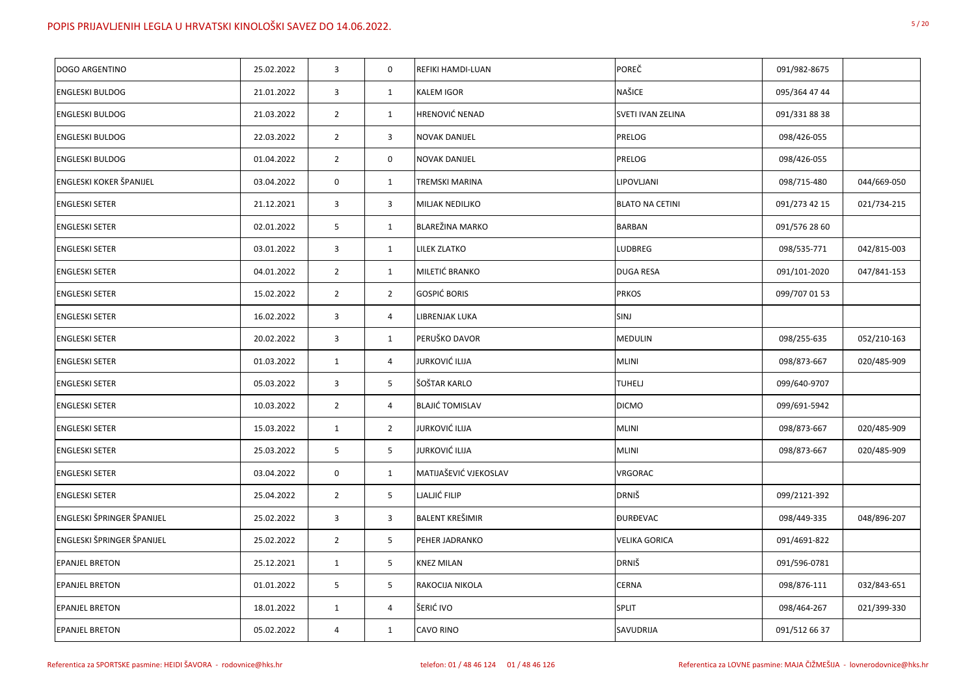| <b>DOGO ARGENTINO</b>          | 25.02.2022 | 3              | $\mathbf 0$     | <b>REFIKI HAMDI-LUAN</b> | <b>POREČ</b>             | 091/982-8675  |             |
|--------------------------------|------------|----------------|-----------------|--------------------------|--------------------------|---------------|-------------|
| <b>ENGLESKI BULDOG</b>         | 21.01.2022 | $\mathbf{3}$   | $\mathbf{1}$    | <b>KALEM IGOR</b>        | <b>NAŠICE</b>            | 095/364 47 44 |             |
| <b>ENGLESKI BULDOG</b>         | 21.03.2022 | $\overline{2}$ | $\mathbf{1}$    | <b>HRENOVIĆ NENAD</b>    | <b>SVETI IVAN ZELINA</b> | 091/331 88 38 |             |
| <b>ENGLESKI BULDOG</b>         | 22.03.2022 | $\overline{2}$ | $\mathbf{3}$    | <b>NOVAK DANIJEL</b>     | <b>PRELOG</b>            | 098/426-055   |             |
| <b>ENGLESKI BULDOG</b>         | 01.04.2022 | $\overline{2}$ | $\mathbf 0$     | <b>NOVAK DANIJEL</b>     | PRELOG                   | 098/426-055   |             |
| <b>ENGLESKI KOKER ŠPANIJEL</b> | 03.04.2022 | $\mathbf 0$    | $\mathbf{1}$    | <b>TREMSKI MARINA</b>    | LIPOVLJANI               | 098/715-480   | 044/669-050 |
| <b>ENGLESKI SETER</b>          | 21.12.2021 | $\mathbf{3}$   | $\overline{3}$  | MILJAK NEDILJKO          | <b>BLATO NA CETINI</b>   | 091/273 42 15 | 021/734-215 |
| <b>ENGLESKI SETER</b>          | 02.01.2022 | 5              | $\mathbf{1}$    | <b>BLAREŽINA MARKO</b>   | <b>BARBAN</b>            | 091/576 28 60 |             |
| <b>ENGLESKI SETER</b>          | 03.01.2022 | $\overline{3}$ | $\mathbf{1}$    | <b>LILEK ZLATKO</b>      | LUDBREG                  | 098/535-771   | 042/815-003 |
| <b>ENGLESKI SETER</b>          | 04.01.2022 | $\overline{2}$ | $\mathbf{1}$    | MILETIĆ BRANKO           | <b>DUGA RESA</b>         | 091/101-2020  | 047/841-153 |
| <b>ENGLESKI SETER</b>          | 15.02.2022 | $\overline{2}$ | $\overline{2}$  | <b>GOSPIĆ BORIS</b>      | <b>PRKOS</b>             | 099/707 01 53 |             |
| <b>ENGLESKI SETER</b>          | 16.02.2022 | $\mathbf{3}$   | $\overline{4}$  | LIBRENJAK LUKA           | SINJ                     |               |             |
| <b>ENGLESKI SETER</b>          | 20.02.2022 | 3              | $\mathbf{1}$    | PERUŠKO DAVOR            | <b>MEDULIN</b>           | 098/255-635   | 052/210-163 |
| <b>ENGLESKI SETER</b>          | 01.03.2022 | $\mathbf{1}$   | $\overline{4}$  | <b>JURKOVIĆ ILIJA</b>    | <b>MLINI</b>             | 098/873-667   | 020/485-909 |
| <b>ENGLESKI SETER</b>          | 05.03.2022 | $\mathbf{3}$   | 5               | ŠOŠTAR KARLO             | <b>TUHELJ</b>            | 099/640-9707  |             |
| <b>ENGLESKI SETER</b>          | 10.03.2022 | $\overline{2}$ | 4               | <b>BLAJIĆ TOMISLAV</b>   | <b>DICMO</b>             | 099/691-5942  |             |
| <b>ENGLESKI SETER</b>          | 15.03.2022 | $\mathbf{1}$   | $\overline{2}$  | <b>JURKOVIĆ ILIJA</b>    | <b>MLINI</b>             | 098/873-667   | 020/485-909 |
| <b>ENGLESKI SETER</b>          | 25.03.2022 | 5              | 5 <sup>5</sup>  | <b>JURKOVIĆ ILIJA</b>    | <b>MLINI</b>             | 098/873-667   | 020/485-909 |
| <b>ENGLESKI SETER</b>          | 03.04.2022 | $\mathbf 0$    | $\mathbf{1}$    | MATIJAŠEVIĆ VJEKOSLAV    | <b>VRGORAC</b>           |               |             |
| <b>ENGLESKI SETER</b>          | 25.04.2022 | $\overline{2}$ | 5               | <b>LJALJIĆ FILIP</b>     | <b>DRNIŠ</b>             | 099/2121-392  |             |
| ENGLESKI ŠPRINGER ŠPANIJEL     | 25.02.2022 | $\mathbf{3}$   | $\mathbf{3}$    | <b>BALENT KREŠIMIR</b>   | <b>DURDEVAC</b>          | 098/449-335   | 048/896-207 |
| ENGLESKI ŠPRINGER ŠPANIJEL     | 25.02.2022 | $\overline{2}$ | 5               | <b>PEHER JADRANKO</b>    | <b>VELIKA GORICA</b>     | 091/4691-822  |             |
| <b>EPANJEL BRETON</b>          | 25.12.2021 | $\mathbf{1}$   | $5\overline{)}$ | <b>KNEZ MILAN</b>        | DRNIŠ                    | 091/596-0781  |             |
| <b>EPANJEL BRETON</b>          | 01.01.2022 | 5              | $5\overline{)}$ | RAKOCIJA NIKOLA          | <b>CERNA</b>             | 098/876-111   | 032/843-651 |
| <b>EPANJEL BRETON</b>          | 18.01.2022 | $\mathbf{1}$   | $\overline{4}$  | ŠERIĆ IVO                | <b>SPLIT</b>             | 098/464-267   | 021/399-330 |
| <b>EPANJEL BRETON</b>          | 05.02.2022 | 4              | $\mathbf{1}$    | <b>CAVO RINO</b>         | SAVUDRIJA                | 091/512 66 37 |             |
|                                |            |                |                 |                          |                          |               |             |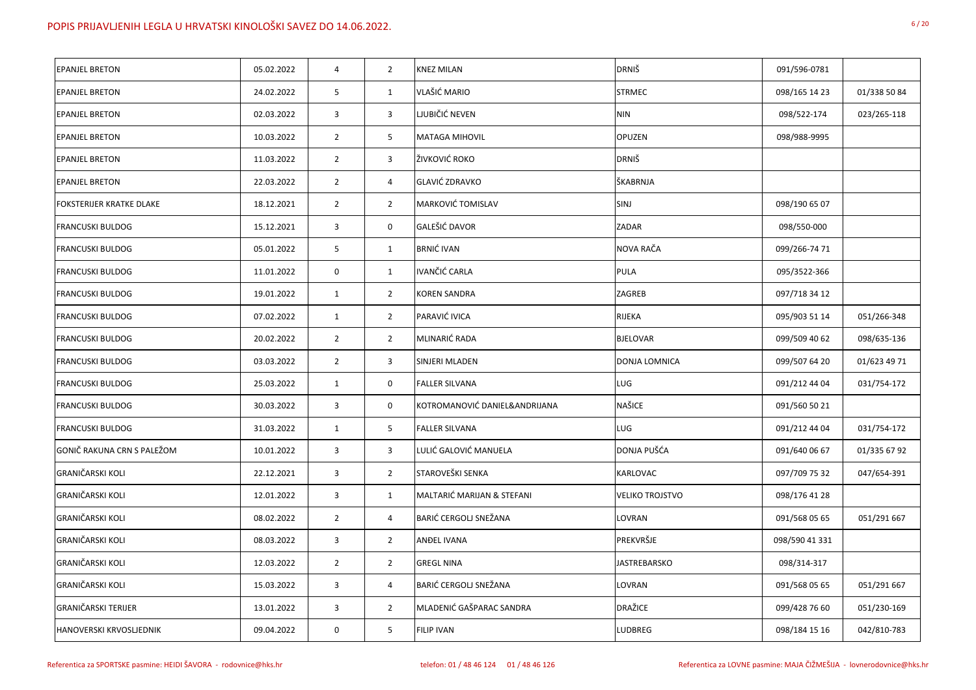| <b>EPANJEL BRETON</b>           | 05.02.2022 | $\overline{4}$ | $\overline{2}$ | <b>KNEZ MILAN</b>             | <b>DRNIŠ</b>           | 091/596-0781   |              |
|---------------------------------|------------|----------------|----------------|-------------------------------|------------------------|----------------|--------------|
| <b>EPANJEL BRETON</b>           | 24.02.2022 | 5 <sub>5</sub> | $\mathbf{1}$   | VLAŠIĆ MARIO                  | <b>STRMEC</b>          | 098/165 14 23  | 01/338 50 84 |
| <b>EPANJEL BRETON</b>           | 02.03.2022 | $\mathbf{3}$   | $\mathbf{3}$   | JUBIČIĆ NEVEN                 | <b>NIN</b>             | 098/522-174    | 023/265-118  |
| <b>EPANJEL BRETON</b>           | 10.03.2022 | $\overline{2}$ | 5              | <b>MATAGA MIHOVIL</b>         | <b>OPUZEN</b>          | 098/988-9995   |              |
| <b>EPANJEL BRETON</b>           | 11.03.2022 | $\overline{2}$ | 3              | ŽIVKOVIĆ ROKO                 | <b>DRNIŠ</b>           |                |              |
| <b>EPANJEL BRETON</b>           | 22.03.2022 | $\overline{2}$ | $\overline{4}$ | <b>GLAVIĆ ZDRAVKO</b>         | ŠKABRNJA               |                |              |
| <b>FOKSTERIJER KRATKE DLAKE</b> | 18.12.2021 | $\overline{2}$ | $2^{\circ}$    | MARKOVIĆ TOMISLAV             | SINJ                   | 098/190 65 07  |              |
| <b>FRANCUSKI BULDOG</b>         | 15.12.2021 | $\overline{3}$ | 0              | <b>GALEŠIĆ DAVOR</b>          | <b>ZADAR</b>           | 098/550-000    |              |
| <b>FRANCUSKI BULDOG</b>         | 05.01.2022 | 5              | $\mathbf{1}$   | <b>BRNIĆ IVAN</b>             | NOVA RAČA              | 099/266-74 71  |              |
| <b>FRANCUSKI BULDOG</b>         | 11.01.2022 | $\mathbf 0$    | $\mathbf{1}$   | IVANČIĆ CARLA                 | <b>PULA</b>            | 095/3522-366   |              |
| <b>FRANCUSKI BULDOG</b>         | 19.01.2022 | $\mathbf{1}$   | $\overline{2}$ | <b>KOREN SANDRA</b>           | <b>ZAGREB</b>          | 097/718 34 12  |              |
| <b>FRANCUSKI BULDOG</b>         | 07.02.2022 | $\mathbf{1}$   | $2^{\circ}$    | PARAVIĆ IVICA                 | <b>RIJEKA</b>          | 095/903 51 14  | 051/266-348  |
| <b>FRANCUSKI BULDOG</b>         | 20.02.2022 | $\overline{2}$ | $2^{\circ}$    | MLINARIĆ RADA                 | <b>BJELOVAR</b>        | 099/509 40 62  | 098/635-136  |
| <b>FRANCUSKI BULDOG</b>         | 03.03.2022 | $\overline{2}$ | 3              | SINJERI MLADEN                | DONJA LOMNICA          | 099/507 64 20  | 01/623 49 71 |
| <b>FRANCUSKI BULDOG</b>         | 25.03.2022 | $\mathbf{1}$   | 0              | <b>FALLER SILVANA</b>         | <b>LUG</b>             | 091/212 44 04  | 031/754-172  |
| <b>FRANCUSKI BULDOG</b>         | 30.03.2022 | $\mathbf{3}$   | 0              | KOTROMANOVIĆ DANIEL&ANDRIJANA | NAŠICE                 | 091/560 50 21  |              |
| <b>FRANCUSKI BULDOG</b>         | 31.03.2022 | $\mathbf{1}$   | 5              | <b>FALLER SILVANA</b>         | LUG                    | 091/212 44 04  | 031/754-172  |
| GONIČ RAKUNA CRN S PALEŽOM      | 10.01.2022 | $\mathbf{3}$   | $\mathbf{3}$   | LULIĆ GALOVIĆ MANUELA         | DONJA PUŠĆA            | 091/640 06 67  | 01/335 67 92 |
| <b>GRANIČARSKI KOLI</b>         | 22.12.2021 | $\mathbf{3}$   | $2^{\circ}$    | STAROVEŠKI SENKA              | KARLOVAC               | 097/709 75 32  | 047/654-391  |
| <b>GRANIČARSKI KOLI</b>         | 12.01.2022 | $\mathbf{3}$   | $\mathbf{1}$   | MALTARIĆ MARIJAN & STEFANI    | <b>VELIKO TROJSTVO</b> | 098/176 41 28  |              |
| <b>GRANIČARSKI KOLI</b>         | 08.02.2022 | $\overline{2}$ | $\overline{4}$ | <b>BARIĆ CERGOLJ SNEŽANA</b>  | LOVRAN                 | 091/568 05 65  | 051/291 667  |
| <b>GRANIČARSKI KOLI</b>         | 08.03.2022 | $\mathbf{3}$   | $\overline{2}$ | <b>ANDEL IVANA</b>            | PREKVRŠJE              | 098/590 41 331 |              |
| <b>GRANIČARSKI KOLI</b>         | 12.03.2022 | $\overline{2}$ | $2^{\circ}$    | <b>GREGL NINA</b>             | <b>JASTREBARSKO</b>    | 098/314-317    |              |
| <b>GRANIČARSKI KOLI</b>         | 15.03.2022 | $\mathbf{3}$   | 4              | BARIĆ CERGOLJ SNEŽANA         | LOVRAN                 | 091/568 05 65  | 051/291 667  |
| <b>GRANIČARSKI TERIJER</b>      | 13.01.2022 | $\mathbf{3}$   | $2^{\circ}$    | MLADENIĆ GAŠPARAC SANDRA      | <b>DRAŽICE</b>         | 099/428 76 60  | 051/230-169  |
| <b>HANOVERSKI KRVOSLJEDNIK</b>  | 09.04.2022 | $\mathbf 0$    | 5              | <b>FILIP IVAN</b>             | <b>LUDBREG</b>         | 098/184 15 16  | 042/810-783  |
|                                 |            |                |                |                               |                        |                |              |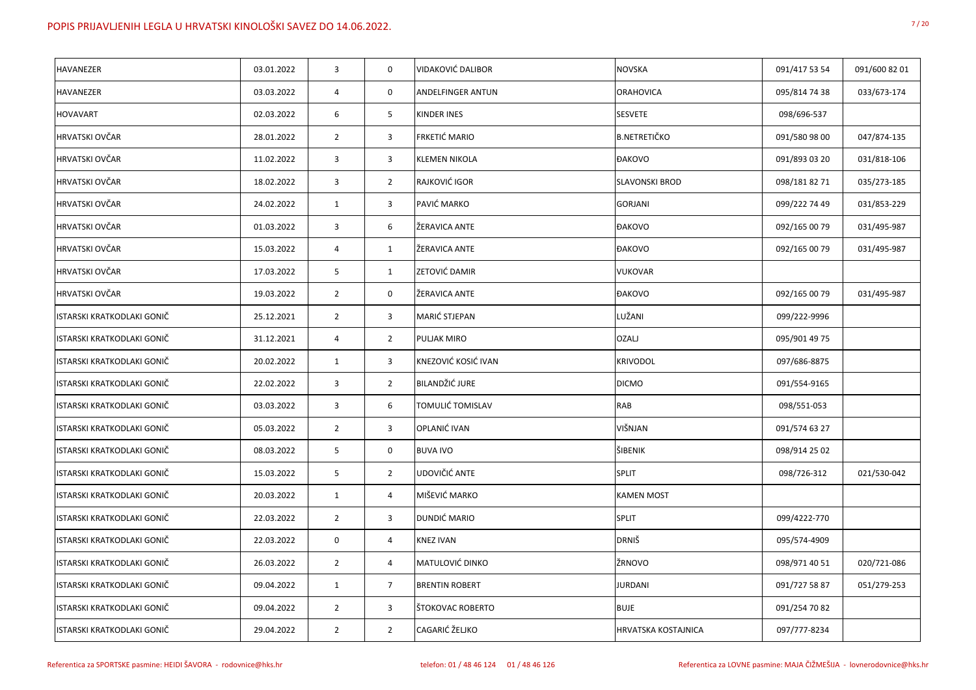| <b>HAVANEZER</b>           | 03.01.2022 | 3              | $\mathbf 0$    | <b>VIDAKOVIĆ DALIBOR</b> | <b>NOVSKA</b>              | 091/417 53 54 | 091/600 82 01 |
|----------------------------|------------|----------------|----------------|--------------------------|----------------------------|---------------|---------------|
| <b>HAVANEZER</b>           | 03.03.2022 | 4              | $\mathbf 0$    | <b>ANDELFINGER ANTUN</b> | <b>ORAHOVICA</b>           | 095/814 74 38 | 033/673-174   |
| <b>HOVAVART</b>            | 02.03.2022 | 6              | 5              | <b>KINDER INES</b>       | <b>SESVETE</b>             | 098/696-537   |               |
| HRVATSKI OVČAR             | 28.01.2022 | $\overline{2}$ | $\mathbf{3}$   | FRKETIĆ MARIO            | B.NETRETIČKO               | 091/580 98 00 | 047/874-135   |
| HRVATSKI OVČAR             | 11.02.2022 | 3              | $\mathbf{3}$   | <b>KLEMEN NIKOLA</b>     | <b>ĐAKOVO</b>              | 091/893 03 20 | 031/818-106   |
| HRVATSKI OVČAR             | 18.02.2022 | 3              | $\overline{2}$ | RAJKOVIĆ IGOR            | <b>SLAVONSKI BROD</b>      | 098/181 82 71 | 035/273-185   |
| <b>HRVATSKI OVČAR</b>      | 24.02.2022 | $\mathbf{1}$   | $\mathbf{3}$   | PAVIĆ MARKO              | <b>GORJANI</b>             | 099/222 74 49 | 031/853-229   |
| HRVATSKI OVČAR             | 01.03.2022 | 3              | 6              | ŽERAVICA ANTE            | <b>ĐAKOVO</b>              | 092/165 00 79 | 031/495-987   |
| <b>HRVATSKI OVČAR</b>      | 15.03.2022 | 4              | $\mathbf{1}$   | ŽERAVICA ANTE            | <b>ĐAKOVO</b>              | 092/165 00 79 | 031/495-987   |
| HRVATSKI OVČAR             | 17.03.2022 | 5              | $\mathbf{1}$   | ZETOVIĆ DAMIR            | <b>VUKOVAR</b>             |               |               |
| <b>HRVATSKI OVČAR</b>      | 19.03.2022 | $\overline{2}$ | $\mathbf 0$    | ŽERAVICA ANTE            | <b>ĐAKOVO</b>              | 092/165 00 79 | 031/495-987   |
| ISTARSKI KRATKODLAKI GONIČ | 25.12.2021 | $\overline{2}$ | $\mathbf{3}$   | MARIĆ STJEPAN            | LUŽANI                     | 099/222-9996  |               |
| ISTARSKI KRATKODLAKI GONIČ | 31.12.2021 | 4              | $\overline{2}$ | <b>PULJAK MIRO</b>       | <b>OZALJ</b>               | 095/901 49 75 |               |
| ISTARSKI KRATKODLAKI GONIČ | 20.02.2022 | $\mathbf{1}$   | $\mathbf{3}$   | KNEZOVIĆ KOSIĆ IVAN      | <b>KRIVODOL</b>            | 097/686-8875  |               |
| ISTARSKI KRATKODLAKI GONIČ | 22.02.2022 | 3              | $\overline{2}$ | <b>BILANDŽIĆ JURE</b>    | <b>DICMO</b>               | 091/554-9165  |               |
| ISTARSKI KRATKODLAKI GONIČ | 03.03.2022 | 3              | 6              | TOMULIĆ TOMISLAV         | RAB                        | 098/551-053   |               |
| ISTARSKI KRATKODLAKI GONIČ | 05.03.2022 | $\overline{2}$ | 3              | OPLANIĆ IVAN             | VIŠNJAN                    | 091/574 63 27 |               |
| ISTARSKI KRATKODLAKI GONIČ | 08.03.2022 | 5              | $\mathbf 0$    | <b>BUVA IVO</b>          | ŠIBENIK                    | 098/914 25 02 |               |
| ISTARSKI KRATKODLAKI GONIČ | 15.03.2022 | 5              | $\overline{2}$ | UDOVIČIĆ ANTE            | <b>SPLIT</b>               | 098/726-312   | 021/530-042   |
| ISTARSKI KRATKODLAKI GONIČ | 20.03.2022 | $\mathbf{1}$   | $\overline{4}$ | MIŠEVIĆ MARKO            | <b>KAMEN MOST</b>          |               |               |
| ISTARSKI KRATKODLAKI GONIČ | 22.03.2022 | $\overline{2}$ | $\mathbf{3}$   | <b>DUNDIĆ MARIO</b>      | <b>SPLIT</b>               | 099/4222-770  |               |
| ISTARSKI KRATKODLAKI GONIČ | 22.03.2022 | $\mathbf 0$    | $\overline{4}$ | <b>KNEZ IVAN</b>         | <b>DRNIŠ</b>               | 095/574-4909  |               |
| ISTARSKI KRATKODLAKI GONIČ | 26.03.2022 | $\overline{2}$ | $\overline{4}$ | MATULOVIĆ DINKO          | ŽRNOVO                     | 098/971 40 51 | 020/721-086   |
| ISTARSKI KRATKODLAKI GONIČ | 09.04.2022 | $\mathbf{1}$   | $\overline{7}$ | <b>BRENTIN ROBERT</b>    | <b>JURDANI</b>             | 091/727 58 87 | 051/279-253   |
| ISTARSKI KRATKODLAKI GONIČ | 09.04.2022 | $\overline{2}$ | $\mathbf{3}$   | ŠTOKOVAC ROBERTO         | <b>BUJE</b>                | 091/254 70 82 |               |
| ISTARSKI KRATKODLAKI GONIČ | 29.04.2022 | $\overline{2}$ | $\overline{2}$ | CAGARIĆ ŽELJKO           | <b>HRVATSKA KOSTAJNICA</b> | 097/777-8234  |               |
|                            |            |                |                |                          |                            |               |               |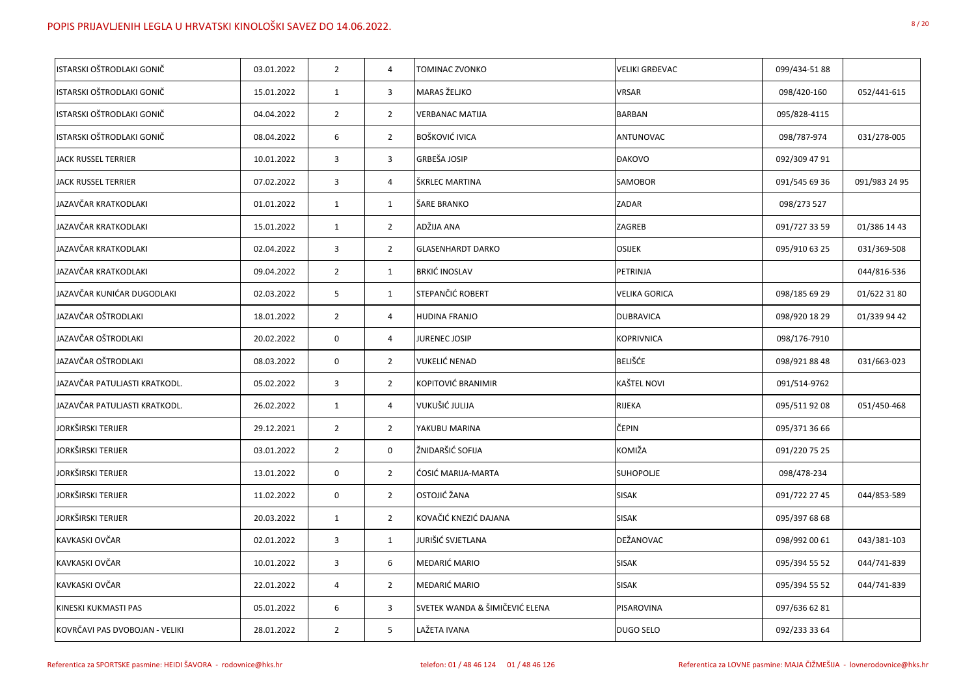| ISTARSKI OŠTRODLAKI GONIČ      | 03.01.2022 | $\overline{2}$ | 4               | TOMINAC ZVONKO                 | <b>VELIKI GRĐEVAC</b> | 099/434-5188  |               |
|--------------------------------|------------|----------------|-----------------|--------------------------------|-----------------------|---------------|---------------|
| ISTARSKI OŠTRODLAKI GONIČ      | 15.01.2022 | $\mathbf{1}$   | $\mathbf{3}$    | <b>MARAS ŽELJKO</b>            | <b>VRSAR</b>          | 098/420-160   | 052/441-615   |
| ISTARSKI OŠTRODLAKI GONIČ      | 04.04.2022 | $\overline{2}$ | $\overline{2}$  | <b>VERBANAC MATIJA</b>         | <b>BARBAN</b>         | 095/828-4115  |               |
| ISTARSKI OŠTRODLAKI GONIČ      | 08.04.2022 | 6              | $\overline{2}$  | <b>BOŠKOVIĆ IVICA</b>          | <b>ANTUNOVAC</b>      | 098/787-974   | 031/278-005   |
| JACK RUSSEL TERRIER            | 10.01.2022 | 3              | $\mathbf{3}$    | <b>GRBEŠA JOSIP</b>            | <b>ĐAKOVO</b>         | 092/309 47 91 |               |
| JACK RUSSEL TERRIER            | 07.02.2022 | 3              | $\overline{4}$  | ŠKRLEC MARTINA                 | <b>SAMOBOR</b>        | 091/545 69 36 | 091/983 24 95 |
| JAZAVČAR KRATKODLAKI           | 01.01.2022 | $\mathbf{1}$   | $\mathbf{1}$    | ŠARE BRANKO                    | <b>ZADAR</b>          | 098/273 527   |               |
| JAZAVČAR KRATKODLAKI           | 15.01.2022 | $\mathbf{1}$   | $\overline{2}$  | ADŽIJA ANA                     | ZAGREB                | 091/727 33 59 | 01/386 14 43  |
| JAZAVČAR KRATKODLAKI           | 02.04.2022 | 3              | $\overline{2}$  | <b>GLASENHARDT DARKO</b>       | <b>OSIJEK</b>         | 095/910 63 25 | 031/369-508   |
| JAZAVČAR KRATKODLAKI           | 09.04.2022 | $\overline{2}$ | $\mathbf{1}$    | <b>BRKIĆ INOSLAV</b>           | PETRINJA              |               | 044/816-536   |
| JAZAVČAR KUNIĆAR DUGODLAKI     | 02.03.2022 | 5              | $\mathbf{1}$    | STEPANČIĆ ROBERT               | <b>VELIKA GORICA</b>  | 098/185 69 29 | 01/622 31 80  |
| JAZAVČAR OŠTRODLAKI            | 18.01.2022 | $\overline{2}$ | 4               | <b>HUDINA FRANJO</b>           | <b>DUBRAVICA</b>      | 098/920 18 29 | 01/339 94 42  |
| JAZAVČAR OŠTRODLAKI            | 20.02.2022 | 0              | $\overline{4}$  | JURENEC JOSIP                  | <b>KOPRIVNICA</b>     | 098/176-7910  |               |
| JAZAVČAR OŠTRODLAKI            | 08.03.2022 | $\mathbf 0$    | $\overline{2}$  | VUKELIĆ NENAD                  | <b>BELIŠĆE</b>        | 098/921 88 48 | 031/663-023   |
| JAZAVČAR PATULJASTI KRATKODL.  | 05.02.2022 | 3              | $\overline{2}$  | KOPITOVIĆ BRANIMIR             | KAŠTEL NOVI           | 091/514-9762  |               |
| JAZAVČAR PATULJASTI KRATKODL.  | 26.02.2022 | $\mathbf{1}$   | 4               | VUKUŠIĆ JULIJA                 | <b>RIJEKA</b>         | 095/511 92 08 | 051/450-468   |
| JORKŠIRSKI TERIJER             | 29.12.2021 | $\overline{2}$ | $\overline{2}$  | YAKUBU MARINA                  | ČEPIN                 | 095/371 36 66 |               |
| JORKŠIRSKI TERIJER             | 03.01.2022 | $\overline{2}$ | $\mathbf 0$     | ŽNIDARŠIĆ SOFIJA               | <b>KOMIŽA</b>         | 091/220 75 25 |               |
| JORKŠIRSKI TERIJER             | 13.01.2022 | $\mathbf 0$    | $\overline{2}$  | ĆOSIĆ MARIJA-MARTA             | <b>SUHOPOLJE</b>      | 098/478-234   |               |
| JORKŠIRSKI TERIJER             | 11.02.2022 | $\mathbf 0$    | $\overline{2}$  | OSTOJIĆ ŽANA                   | <b>SISAK</b>          | 091/722 27 45 | 044/853-589   |
| JORKŠIRSKI TERIJER             | 20.03.2022 | $\mathbf{1}$   | $\overline{2}$  | KOVAČIĆ KNEZIĆ DAJANA          | <b>SISAK</b>          | 095/397 68 68 |               |
| KAVKASKI OVČAR                 | 02.01.2022 | 3              | $\mathbf{1}$    | JURIŠIĆ SVJETLANA              | DEŽANOVAC             | 098/992 00 61 | 043/381-103   |
| KAVKASKI OVČAR                 | 10.01.2022 | 3              | 6               | <b>MEDARIĆ MARIO</b>           | <b>SISAK</b>          | 095/394 55 52 | 044/741-839   |
| KAVKASKI OVČAR                 | 22.01.2022 | 4              | $\overline{2}$  | MEDARIĆ MARIO                  | <b>SISAK</b>          | 095/394 55 52 | 044/741-839   |
| KINESKI KUKMASTI PAS           | 05.01.2022 | 6              | $\mathbf{3}$    | SVETEK WANDA & ŠIMIČEVIĆ ELENA | PISAROVINA            | 097/636 62 81 |               |
| KOVRČAVI PAS DVOBOJAN - VELIKI | 28.01.2022 | $\overline{2}$ | $5\phantom{.0}$ | LAŽETA IVANA                   | <b>DUGO SELO</b>      | 092/233 33 64 |               |
|                                |            |                |                 |                                |                       |               |               |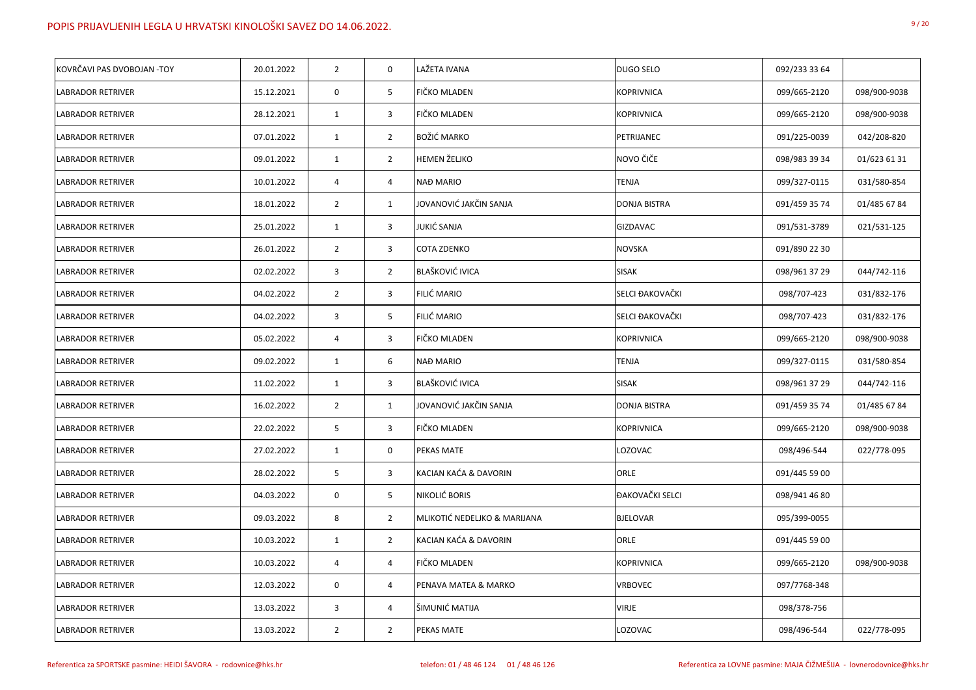| KOVRČAVI PAS DVOBOJAN -TOY | 20.01.2022 | $\overline{2}$ | $\mathbf 0$     | LAŽETA IVANA                    | <b>DUGO SELO</b>       | 092/233 33 64 |              |
|----------------------------|------------|----------------|-----------------|---------------------------------|------------------------|---------------|--------------|
| <b>LABRADOR RETRIVER</b>   | 15.12.2021 | 0              | 5               | <b>FIČKO MLADEN</b>             | <b>KOPRIVNICA</b>      | 099/665-2120  | 098/900-9038 |
| <b>LABRADOR RETRIVER</b>   | 28.12.2021 | $\mathbf{1}$   | $\mathbf{3}$    | <b>FIČKO MLADEN</b>             | <b>KOPRIVNICA</b>      | 099/665-2120  | 098/900-9038 |
| <b>LABRADOR RETRIVER</b>   | 07.01.2022 | $\mathbf{1}$   | $\overline{2}$  | <b>BOŽIĆ MARKO</b>              | PETRIJANEC             | 091/225-0039  | 042/208-820  |
| <b>LABRADOR RETRIVER</b>   | 09.01.2022 | $\mathbf{1}$   | $\overline{2}$  | <b>HEMEN ŽELJKO</b>             | NOVO ČIČE              | 098/983 39 34 | 01/623 61 31 |
| <b>LABRADOR RETRIVER</b>   | 10.01.2022 | 4              | 4               | <b>NAĐ MARIO</b>                | <b>TENJA</b>           | 099/327-0115  | 031/580-854  |
| <b>LABRADOR RETRIVER</b>   | 18.01.2022 | $\overline{2}$ | $\mathbf{1}$    | JOVANOVIĆ JAKČIN SANJA          | <b>DONJA BISTRA</b>    | 091/459 35 74 | 01/485 67 84 |
| <b>LABRADOR RETRIVER</b>   | 25.01.2022 | $\mathbf{1}$   | $\mathbf{3}$    | <b>JUKIĆ SANJA</b>              | <b>GIZDAVAC</b>        | 091/531-3789  | 021/531-125  |
| <b>LABRADOR RETRIVER</b>   | 26.01.2022 | $\overline{2}$ | $\overline{3}$  | <b>COTA ZDENKO</b>              | <b>NOVSKA</b>          | 091/890 22 30 |              |
| <b>LABRADOR RETRIVER</b>   | 02.02.2022 | $\mathbf{3}$   | $\overline{2}$  | <b>BLAŠKOVIĆ IVICA</b>          | <b>SISAK</b>           | 098/961 37 29 | 044/742-116  |
| <b>LABRADOR RETRIVER</b>   | 04.02.2022 | $\overline{2}$ | $\mathbf{3}$    | <b>FILIĆ MARIO</b>              | <b>SELCI ĐAKOVAČKI</b> | 098/707-423   | 031/832-176  |
| <b>LABRADOR RETRIVER</b>   | 04.02.2022 | $\mathbf{3}$   | 5               | <b>FILIĆ MARIO</b>              | <b>SELCI ĐAKOVAČKI</b> | 098/707-423   | 031/832-176  |
| <b>LABRADOR RETRIVER</b>   | 05.02.2022 | 4              | $\overline{3}$  | FIČKO MLADEN                    | <b>KOPRIVNICA</b>      | 099/665-2120  | 098/900-9038 |
| <b>LABRADOR RETRIVER</b>   | 09.02.2022 | $\mathbf{1}$   | 6               | <b>NAĐ MARIO</b>                | <b>TENJA</b>           | 099/327-0115  | 031/580-854  |
| <b>LABRADOR RETRIVER</b>   | 11.02.2022 | $\mathbf{1}$   | $\mathbf{3}$    | <b>BLAŠKOVIĆ IVICA</b>          | <b>SISAK</b>           | 098/961 37 29 | 044/742-116  |
| <b>LABRADOR RETRIVER</b>   | 16.02.2022 | $\overline{2}$ | $\mathbf{1}$    | JOVANOVIĆ JAKČIN SANJA          | <b>DONJA BISTRA</b>    | 091/459 35 74 | 01/485 67 84 |
| <b>LABRADOR RETRIVER</b>   | 22.02.2022 | 5              | $\overline{3}$  | <b>FIČKO MLADEN</b>             | <b>KOPRIVNICA</b>      | 099/665-2120  | 098/900-9038 |
| <b>LABRADOR RETRIVER</b>   | 27.02.2022 | $\mathbf{1}$   | $\mathbf 0$     | <b>PEKAS MATE</b>               | LOZOVAC                | 098/496-544   | 022/778-095  |
| <b>LABRADOR RETRIVER</b>   | 28.02.2022 | 5              | $\mathbf{3}$    | KACIAN KAĆA & DAVORIN           | ORLE                   | 091/445 59 00 |              |
| <b>LABRADOR RETRIVER</b>   | 04.03.2022 | $\mathbf 0$    | $5\overline{)}$ | NIKOLIĆ BORIS                   | ĐAKOVAČKI SELCI        | 098/941 46 80 |              |
| <b>LABRADOR RETRIVER</b>   | 09.03.2022 | 8              | $\overline{2}$  | MLIKOTIĆ NEDELJKO & MARIJANA    | <b>BJELOVAR</b>        | 095/399-0055  |              |
| <b>LABRADOR RETRIVER</b>   | 10.03.2022 | $\mathbf{1}$   | $\overline{2}$  | KACIAN KAĆA & DAVORIN           | ORLE                   | 091/445 59 00 |              |
| <b>LABRADOR RETRIVER</b>   | 10.03.2022 | 4              | $\overline{4}$  | <b>FIČKO MLADEN</b>             | <b>KOPRIVNICA</b>      | 099/665-2120  | 098/900-9038 |
| <b>LABRADOR RETRIVER</b>   | 12.03.2022 | $\mathbf 0$    | $\overline{4}$  | <b>PENAVA MATEA &amp; MARKO</b> | <b>VRBOVEC</b>         | 097/7768-348  |              |
| <b>LABRADOR RETRIVER</b>   | 13.03.2022 | $\mathbf{3}$   | 4               | ŠIMUNIĆ MATIJA                  | <b>VIRJE</b>           | 098/378-756   |              |
| <b>LABRADOR RETRIVER</b>   | 13.03.2022 | $\overline{2}$ | $\overline{2}$  | <b>PEKAS MATE</b>               | LOZOVAC                | 098/496-544   | 022/778-095  |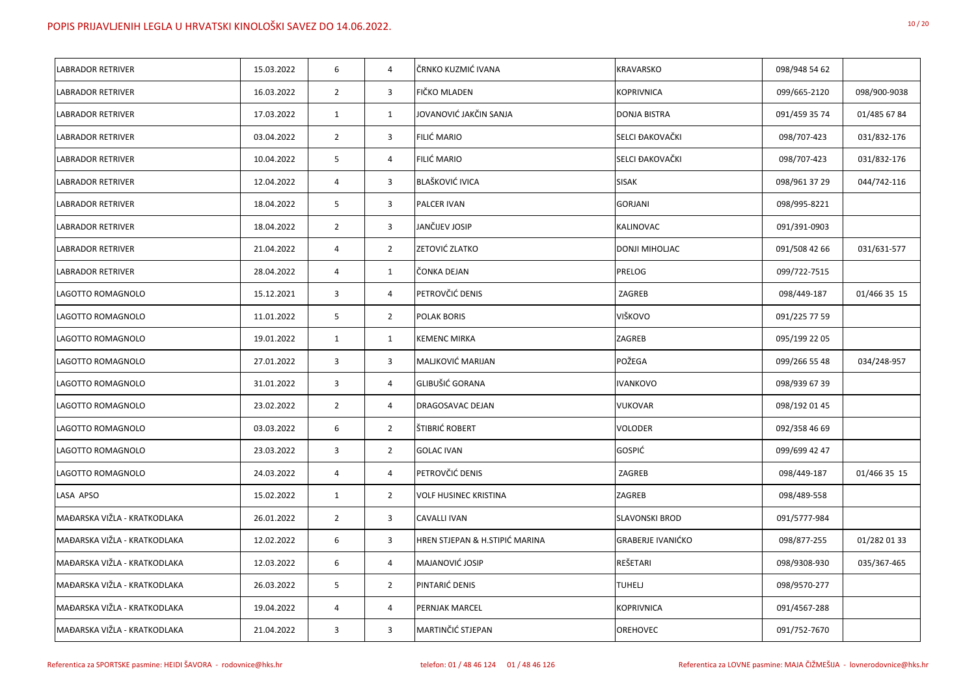| <b>LABRADOR RETRIVER</b>     | 15.03.2022 | 6               | 4              | ČRNKO KUZMIĆ IVANA             | <b>KRAVARSKO</b>         | 098/948 54 62 |              |
|------------------------------|------------|-----------------|----------------|--------------------------------|--------------------------|---------------|--------------|
| <b>LABRADOR RETRIVER</b>     | 16.03.2022 | $\overline{2}$  | $\mathbf{3}$   | FIČKO MLADEN                   | <b>KOPRIVNICA</b>        | 099/665-2120  | 098/900-9038 |
| <b>LABRADOR RETRIVER</b>     | 17.03.2022 | $\mathbf{1}$    | $\mathbf{1}$   | JOVANOVIĆ JAKČIN SANJA         | <b>DONJA BISTRA</b>      | 091/459 35 74 | 01/485 67 84 |
| <b>LABRADOR RETRIVER</b>     | 03.04.2022 | $\overline{2}$  | 3              | <b>FILIĆ MARIO</b>             | SELCI ĐAKOVAČKI          | 098/707-423   | 031/832-176  |
| <b>LABRADOR RETRIVER</b>     | 10.04.2022 | 5               | 4              | FILIĆ MARIO                    | SELCI ĐAKOVAČKI          | 098/707-423   | 031/832-176  |
| <b>LABRADOR RETRIVER</b>     | 12.04.2022 | 4               | 3              | <b>BLAŠKOVIĆ IVICA</b>         | <b>SISAK</b>             | 098/961 37 29 | 044/742-116  |
| <b>LABRADOR RETRIVER</b>     | 18.04.2022 | $5\phantom{.}$  | $\mathbf{3}$   | <b>PALCER IVAN</b>             | <b>GORJANI</b>           | 098/995-8221  |              |
| <b>LABRADOR RETRIVER</b>     | 18.04.2022 | $\overline{2}$  | $\mathbf{3}$   | JANČIJEV JOSIP                 | KALINOVAC                | 091/391-0903  |              |
| <b>LABRADOR RETRIVER</b>     | 21.04.2022 | 4               | $\overline{2}$ | ZETOVIĆ ZLATKO                 | <b>DONJI MIHOLJAC</b>    | 091/508 42 66 | 031/631-577  |
| <b>LABRADOR RETRIVER</b>     | 28.04.2022 | 4               | $\mathbf{1}$   | ČONKA DEJAN                    | <b>PRELOG</b>            | 099/722-7515  |              |
| LAGOTTO ROMAGNOLO            | 15.12.2021 | $\mathbf{3}$    | 4              | PETROVČIĆ DENIS                | ZAGREB                   | 098/449-187   | 01/466 35 15 |
| LAGOTTO ROMAGNOLO            | 11.01.2022 | 5               | $\overline{2}$ | <b>POLAK BORIS</b>             | <b>VIŠKOVO</b>           | 091/225 77 59 |              |
| LAGOTTO ROMAGNOLO            | 19.01.2022 | $\mathbf{1}$    | $\mathbf{1}$   | <b>KEMENC MIRKA</b>            | <b>ZAGREB</b>            | 095/199 22 05 |              |
| LAGOTTO ROMAGNOLO            | 27.01.2022 | $\mathbf{3}$    | $\mathbf{3}$   | MALJKOVIĆ MARIJAN              | POŽEGA                   | 099/266 55 48 | 034/248-957  |
| LAGOTTO ROMAGNOLO            | 31.01.2022 | $\mathbf{3}$    | $\overline{4}$ | <b>GLIBUŠIĆ GORANA</b>         | <b>IVANKOVO</b>          | 098/939 67 39 |              |
| LAGOTTO ROMAGNOLO            | 23.02.2022 | $\overline{2}$  | 4              | <b>DRAGOSAVAC DEJAN</b>        | <b>VUKOVAR</b>           | 098/192 01 45 |              |
| LAGOTTO ROMAGNOLO            | 03.03.2022 | 6               | $\overline{2}$ | ŠTIBRIĆ ROBERT                 | <b>VOLODER</b>           | 092/358 46 69 |              |
| LAGOTTO ROMAGNOLO            | 23.03.2022 | $\mathbf{3}$    | $\overline{2}$ | <b>GOLAC IVAN</b>              | <b>GOSPIĆ</b>            | 099/699 42 47 |              |
| LAGOTTO ROMAGNOLO            | 24.03.2022 | 4               | 4              | PETROVČIĆ DENIS                | ZAGREB                   | 098/449-187   | 01/466 35 15 |
| LASA APSO                    | 15.02.2022 | $\mathbf{1}$    | $\overline{2}$ | <b>VOLF HUSINEC KRISTINA</b>   | <b>ZAGREB</b>            | 098/489-558   |              |
| MAĐARSKA VIŽLA - KRATKODLAKA | 26.01.2022 | $\overline{2}$  | $\mathbf{3}$   | <b>CAVALLI IVAN</b>            | <b>SLAVONSKI BROD</b>    | 091/5777-984  |              |
| MAĐARSKA VIŽLA - KRATKODLAKA | 12.02.2022 | 6               | 3              | HREN STJEPAN & H.STIPIĆ MARINA | <b>GRABERJE IVANIĆKO</b> | 098/877-255   | 01/282 01 33 |
| MAĐARSKA VIŽLA - KRATKODLAKA | 12.03.2022 | 6               | 4              | MAJANOVIĆ JOSIP                | <b>REŠETARI</b>          | 098/9308-930  | 035/367-465  |
| MAĐARSKA VIŽLA - KRATKODLAKA | 26.03.2022 | $5\overline{)}$ | $\overline{2}$ | PINTARIĆ DENIS                 | <b>TUHELJ</b>            | 098/9570-277  |              |
| MAĐARSKA VIŽLA - KRATKODLAKA | 19.04.2022 | 4               | 4              | PERNJAK MARCEL                 | <b>KOPRIVNICA</b>        | 091/4567-288  |              |
| MAĐARSKA VIŽLA - KRATKODLAKA | 21.04.2022 | 3               | 3              | MARTINČIĆ STJEPAN              | <b>OREHOVEC</b>          | 091/752-7670  |              |
|                              |            |                 |                |                                |                          |               |              |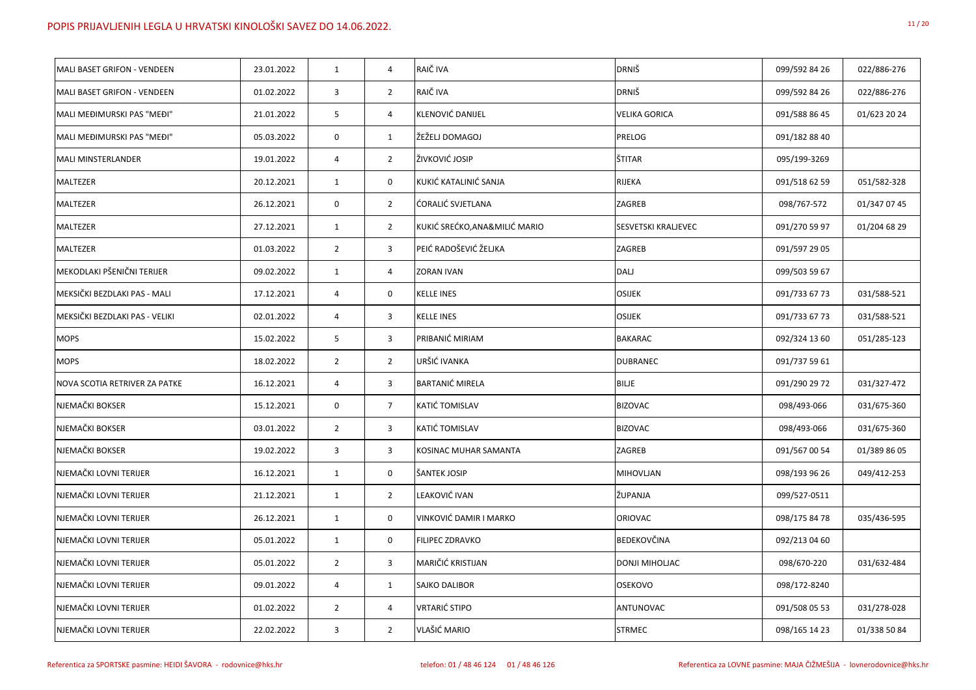| MALI BASET GRIFON - VENDEEN    | 23.01.2022 | $\mathbf{1}$   | 4              | RAIČ IVA                      | DRNIŠ                      | 099/592 84 26 | 022/886-276  |
|--------------------------------|------------|----------------|----------------|-------------------------------|----------------------------|---------------|--------------|
| MALI BASET GRIFON - VENDEEN    | 01.02.2022 | $\mathbf{3}$   | $\overline{2}$ | RAIČ IVA                      | <b>DRNIŠ</b>               | 099/592 84 26 | 022/886-276  |
| MALI MEĐIMURSKI PAS "MEĐI"     | 21.01.2022 | 5              | $\overline{4}$ | KLENOVIĆ DANIJEL              | <b>VELIKA GORICA</b>       | 091/588 86 45 | 01/623 20 24 |
| MALI MEĐIMURSKI PAS "MEĐI"     | 05.03.2022 | $\mathbf 0$    | $\mathbf{1}$   | ŽEŽELJ DOMAGOJ                | <b>PRELOG</b>              | 091/182 88 40 |              |
| MALI MINSTERLANDER             | 19.01.2022 | 4              | $\overline{2}$ | ŽIVKOVIĆ JOSIP                | ŠTITAR                     | 095/199-3269  |              |
| <b>MALTEZER</b>                | 20.12.2021 | $\mathbf{1}$   | $\mathbf 0$    | KUKIĆ KATALINIĆ SANJA         | <b>RIJEKA</b>              | 091/518 62 59 | 051/582-328  |
| <b>MALTEZER</b>                | 26.12.2021 | 0              | $\overline{2}$ | <b>CORALIC SVJETLANA</b>      | <b>ZAGREB</b>              | 098/767-572   | 01/347 07 45 |
| <b>MALTEZER</b>                | 27.12.2021 | $\mathbf{1}$   | $\overline{2}$ | KUKIĆ SREĆKO, ANA&MILIĆ MARIO | <b>SESVETSKI KRALJEVEC</b> | 091/270 59 97 | 01/204 68 29 |
| <b>MALTEZER</b>                | 01.03.2022 | $\overline{2}$ | $\overline{3}$ | PEIĆ RADOŠEVIĆ ŽELJKA         | ZAGREB                     | 091/597 29 05 |              |
| MEKODLAKI PŠENIČNI TERIJER     | 09.02.2022 | $\mathbf{1}$   | 4              | <b>ZORAN IVAN</b>             | DALJ                       | 099/503 59 67 |              |
| MEKSIČKI BEZDLAKI PAS - MALI   | 17.12.2021 | 4              | $\mathbf 0$    | <b>KELLE INES</b>             | <b>OSIJEK</b>              | 091/733 67 73 | 031/588-521  |
| MEKSIČKI BEZDLAKI PAS - VELIKI | 02.01.2022 | 4              | $\overline{3}$ | <b>KELLE INES</b>             | <b>OSIJEK</b>              | 091/733 67 73 | 031/588-521  |
| <b>MOPS</b>                    | 15.02.2022 | 5              | $\overline{3}$ | PRIBANIĆ MIRIAM               | <b>BAKARAC</b>             | 092/324 13 60 | 051/285-123  |
| <b>MOPS</b>                    | 18.02.2022 | $\overline{2}$ | $\overline{2}$ | URŠIĆ IVANKA                  | <b>DUBRANEC</b>            | 091/737 59 61 |              |
| NOVA SCOTIA RETRIVER ZA PATKE  | 16.12.2021 | 4              | $\overline{3}$ | <b>BARTANIĆ MIRELA</b>        | <b>BILJE</b>               | 091/290 29 72 | 031/327-472  |
| NJEMAČKI BOKSER                | 15.12.2021 | $\mathbf 0$    | $\overline{7}$ | <b>KATIĆ TOMISLAV</b>         | <b>BIZOVAC</b>             | 098/493-066   | 031/675-360  |
| NJEMAČKI BOKSER                | 03.01.2022 | $\overline{2}$ | $\overline{3}$ | KATIĆ TOMISLAV                | <b>BIZOVAC</b>             | 098/493-066   | 031/675-360  |
| NJEMAČKI BOKSER                | 19.02.2022 | $\mathbf{3}$   | $\mathbf{3}$   | KOSINAC MUHAR SAMANTA         | <b>ZAGREB</b>              | 091/567 00 54 | 01/389 86 05 |
| NJEMAČKI LOVNI TERIJER         | 16.12.2021 | $\mathbf{1}$   | $\mathbf 0$    | ŠANTEK JOSIP                  | <b>MIHOVLJAN</b>           | 098/193 96 26 | 049/412-253  |
| NJEMAČKI LOVNI TERIJER         | 21.12.2021 | $\mathbf{1}$   | $\overline{2}$ | LEAKOVIĆ IVAN                 | ŽUPANJA                    | 099/527-0511  |              |
| NJEMAČKI LOVNI TERIJER         | 26.12.2021 | $\mathbf{1}$   | $\mathbf 0$    | VINKOVIĆ DAMIR I MARKO        | <b>ORIOVAC</b>             | 098/175 84 78 | 035/436-595  |
| NJEMAČKI LOVNI TERIJER         | 05.01.2022 | 1              | $\mathbf 0$    | <b>FILIPEC ZDRAVKO</b>        | BEDEKOVČINA                | 092/213 04 60 |              |
| NJEMAČKI LOVNI TERIJER         | 05.01.2022 | $\overline{2}$ | $\overline{3}$ | MARIČIĆ KRISTIJAN             | <b>DONJI MIHOLJAC</b>      | 098/670-220   | 031/632-484  |
| NJEMAČKI LOVNI TERIJER         | 09.01.2022 | 4              | $\mathbf{1}$   | <b>SAJKO DALIBOR</b>          | <b>OSEKOVO</b>             | 098/172-8240  |              |
| NJEMAČKI LOVNI TERIJER         | 01.02.2022 | $\overline{2}$ | $\overline{4}$ | <b>VRTARIĆ STIPO</b>          | ANTUNOVAC                  | 091/508 05 53 | 031/278-028  |
| NJEMAČKI LOVNI TERIJER         | 22.02.2022 | 3              | $\overline{2}$ | VLAŠIĆ MARIO                  | <b>STRMEC</b>              | 098/165 14 23 | 01/338 50 84 |
|                                |            |                |                |                               |                            |               |              |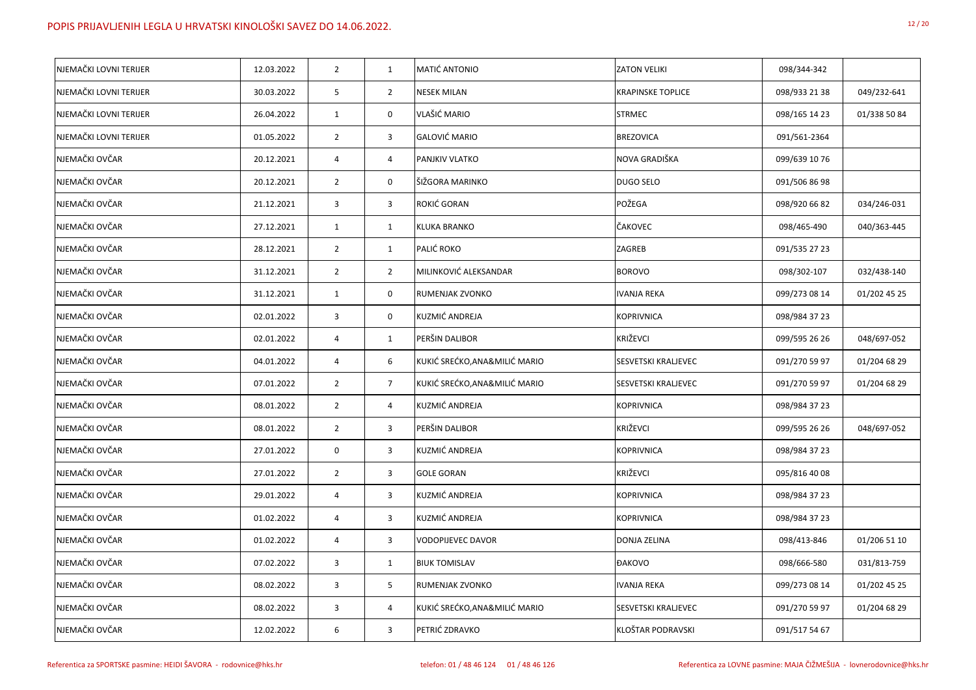| NJEMAČKI LOVNI TERIJER | 12.03.2022 | $\overline{2}$ | $\mathbf{1}$   | <b>MATIĆ ANTONIO</b>          | <b>ZATON VELIKI</b>        | 098/344-342   |              |
|------------------------|------------|----------------|----------------|-------------------------------|----------------------------|---------------|--------------|
| NJEMAČKI LOVNI TERIJER | 30.03.2022 | 5 <sub>5</sub> | $2^{\circ}$    | <b>NESEK MILAN</b>            | <b>KRAPINSKE TOPLICE</b>   | 098/933 21 38 | 049/232-641  |
| NJEMAČKI LOVNI TERIJER | 26.04.2022 | $\mathbf{1}$   | 0              | VLAŠIĆ MARIO                  | <b>STRMEC</b>              | 098/165 14 23 | 01/338 50 84 |
| NJEMAČKI LOVNI TERIJER | 01.05.2022 | $\overline{2}$ | $\mathbf{3}$   | <b>GALOVIĆ MARIO</b>          | <b>BREZOVICA</b>           | 091/561-2364  |              |
| NJEMAČKI OVČAR         | 20.12.2021 | 4              | 4              | PANJKIV VLATKO                | NOVA GRADIŠKA              | 099/639 10 76 |              |
| NJEMAČKI OVČAR         | 20.12.2021 | $\overline{2}$ | 0              | ŠIŽGORA MARINKO               | <b>DUGO SELO</b>           | 091/506 86 98 |              |
| NJEMAČKI OVČAR         | 21.12.2021 | 3              | $\mathbf{3}$   | ROKIĆ GORAN                   | POŽEGA                     | 098/920 66 82 | 034/246-031  |
| NJEMAČKI OVČAR         | 27.12.2021 | $\mathbf{1}$   | $\mathbf{1}$   | <b>KLUKA BRANKO</b>           | ČAKOVEC                    | 098/465-490   | 040/363-445  |
| NJEMAČKI OVČAR         | 28.12.2021 | $\overline{2}$ | $\mathbf{1}$   | PALIĆ ROKO                    | ZAGREB                     | 091/535 27 23 |              |
| NJEMAČKI OVČAR         | 31.12.2021 | $\overline{2}$ | $2^{\circ}$    | MILINKOVIĆ ALEKSANDAR         | <b>BOROVO</b>              | 098/302-107   | 032/438-140  |
| NJEMAČKI OVČAR         | 31.12.2021 | $\mathbf{1}$   | 0              | RUMENJAK ZVONKO               | <b>IVANJA REKA</b>         | 099/273 08 14 | 01/202 45 25 |
| NJEMAČKI OVČAR         | 02.01.2022 | $\mathbf{3}$   | 0              | KUZMIĆ ANDREJA                | <b>KOPRIVNICA</b>          | 098/984 37 23 |              |
| NJEMAČKI OVČAR         | 02.01.2022 | 4              | $\mathbf{1}$   | PERŠIN DALIBOR                | KRIŽEVCI                   | 099/595 26 26 | 048/697-052  |
| NJEMAČKI OVČAR         | 04.01.2022 | 4              | 6              | KUKIĆ SREĆKO, ANA&MILIĆ MARIO | <b>SESVETSKI KRALJEVEC</b> | 091/270 59 97 | 01/204 68 29 |
| NJEMAČKI OVČAR         | 07.01.2022 | $\overline{2}$ | 7 <sup>1</sup> | KUKIĆ SREĆKO, ANA&MILIĆ MARIO | SESVETSKI KRALJEVEC        | 091/270 59 97 | 01/204 68 29 |
| NJEMAČKI OVČAR         | 08.01.2022 | $\overline{2}$ | $\overline{4}$ | KUZMIĆ ANDREJA                | <b>KOPRIVNICA</b>          | 098/984 37 23 |              |
| NJEMAČKI OVČAR         | 08.01.2022 | $\overline{2}$ | $\mathsf{3}$   | PERŠIN DALIBOR                | KRIŽEVCI                   | 099/595 26 26 | 048/697-052  |
| NJEMAČKI OVČAR         | 27.01.2022 | $\mathbf 0$    | $\mathbf{3}$   | KUZMIĆ ANDREJA                | <b>KOPRIVNICA</b>          | 098/984 37 23 |              |
| NJEMAČKI OVČAR         | 27.01.2022 | $\overline{2}$ | 3              | <b>GOLE GORAN</b>             | <b>KRIŽEVCI</b>            | 095/816 40 08 |              |
| NJEMAČKI OVČAR         | 29.01.2022 | 4              | $\mathbf{3}$   | KUZMIĆ ANDREJA                | <b>KOPRIVNICA</b>          | 098/984 37 23 |              |
| NJEMAČKI OVČAR         | 01.02.2022 | 4              | 3              | KUZMIĆ ANDREJA                | <b>KOPRIVNICA</b>          | 098/984 37 23 |              |
| NJEMAČKI OVČAR         | 01.02.2022 | 4              | 3              | <b>VODOPIJEVEC DAVOR</b>      | <b>DONJA ZELINA</b>        | 098/413-846   | 01/206 51 10 |
| NJEMAČKI OVČAR         | 07.02.2022 | $\mathbf{3}$   | $\mathbf{1}$   | <b>BIUK TOMISLAV</b>          | <b>ĐAKOVO</b>              | 098/666-580   | 031/813-759  |
| NJEMAČKI OVČAR         | 08.02.2022 | $\mathbf{3}$   | 5              | RUMENJAK ZVONKO               | <b>IVANJA REKA</b>         | 099/273 08 14 | 01/202 45 25 |
| NJEMAČKI OVČAR         | 08.02.2022 | $\mathbf{3}$   | 4              | KUKIĆ SREĆKO, ANA&MILIĆ MARIO | <b>SESVETSKI KRALJEVEC</b> | 091/270 59 97 | 01/204 68 29 |
| NJEMAČKI OVČAR         | 12.02.2022 | 6              | $\mathbf{3}$   | PETRIĆ ZDRAVKO                | KLOŠTAR PODRAVSKI          | 091/517 54 67 |              |
|                        |            |                |                |                               |                            |               |              |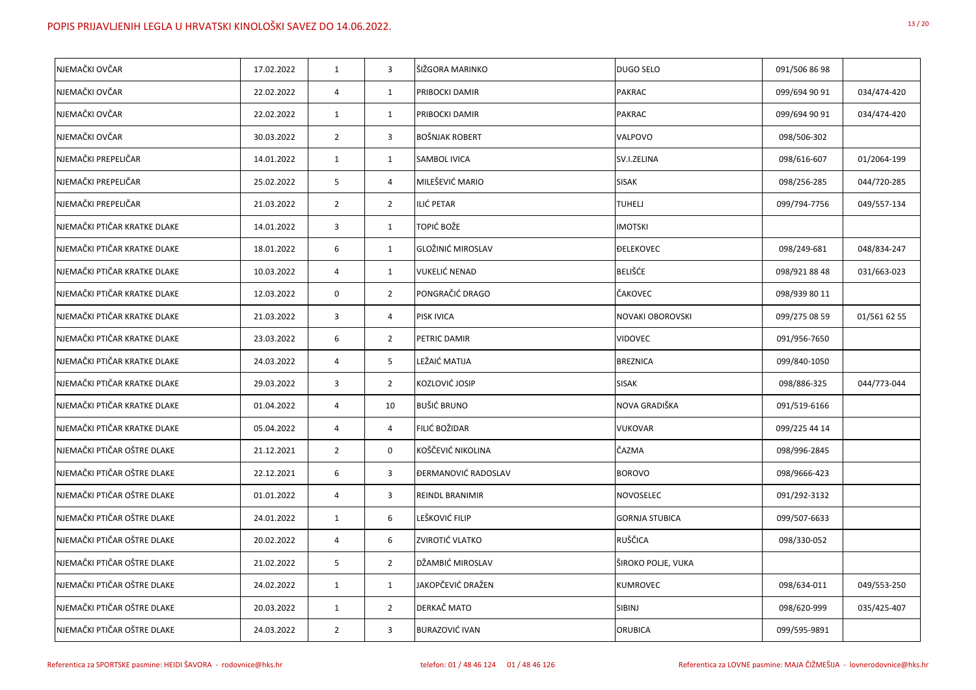| NJEMAČKI OVČAR               |            |                |                |                            |                         |               |              |
|------------------------------|------------|----------------|----------------|----------------------------|-------------------------|---------------|--------------|
|                              | 17.02.2022 | $\mathbf{1}$   | 3              | ŠIŽGORA MARINKO            | <b>DUGO SELO</b>        | 091/506 86 98 |              |
| NJEMAČKI OVČAR               | 22.02.2022 | 4              | $\mathbf{1}$   | PRIBOCKI DAMIR             | <b>PAKRAC</b>           | 099/694 90 91 | 034/474-420  |
| NJEMAČKI OVČAR               | 22.02.2022 | $\mathbf{1}$   | $\mathbf{1}$   | PRIBOCKI DAMIR             | <b>PAKRAC</b>           | 099/694 90 91 | 034/474-420  |
| NJEMAČKI OVČAR               | 30.03.2022 | $\overline{2}$ | 3              | <b>BOŠNJAK ROBERT</b>      | <b>VALPOVO</b>          | 098/506-302   |              |
| NJEMAČKI PREPELIČAR          | 14.01.2022 | $\mathbf{1}$   | $\mathbf{1}$   | <b>SAMBOL IVICA</b>        | SV.I.ZELINA             | 098/616-607   | 01/2064-199  |
| NJEMAČKI PREPELIČAR          | 25.02.2022 | 5 <sub>5</sub> | $\overline{4}$ | MILEŠEVIĆ MARIO            | <b>SISAK</b>            | 098/256-285   | 044/720-285  |
| NJEMAČKI PREPELIČAR          | 21.03.2022 | $\overline{2}$ | $2^{\circ}$    | ILIĆ PETAR                 | <b>TUHELJ</b>           | 099/794-7756  | 049/557-134  |
| NJEMAČKI PTIČAR KRATKE DLAKE | 14.01.2022 | $\mathbf{3}$   | $\mathbf{1}$   | TOPIĆ BOŽE                 | <b>IMOTSKI</b>          |               |              |
| NJEMAČKI PTIČAR KRATKE DLAKE | 18.01.2022 | 6              | $\mathbf{1}$   | <b>GLOŽINIĆ MIROSLAV</b>   | <b>DELEKOVEC</b>        | 098/249-681   | 048/834-247  |
| NJEMAČKI PTIČAR KRATKE DLAKE | 10.03.2022 | 4              | $\mathbf{1}$   | <b>VUKELIĆ NENAD</b>       | <b>BELIŠĆE</b>          | 098/921 88 48 | 031/663-023  |
| NJEMAČKI PTIČAR KRATKE DLAKE | 12.03.2022 | $\mathbf 0$    | $2^{\circ}$    | PONGRAČIĆ DRAGO            | ČAKOVEC                 | 098/939 80 11 |              |
| NJEMAČKI PTIČAR KRATKE DLAKE | 21.03.2022 | $\overline{3}$ | 4              | <b>PISK IVICA</b>          | <b>NOVAKI OBOROVSKI</b> | 099/275 08 59 | 01/561 62 55 |
| NJEMAČKI PTIČAR KRATKE DLAKE | 23.03.2022 | 6              | $\overline{2}$ | PETRIC DAMIR               | <b>VIDOVEC</b>          | 091/956-7650  |              |
| NJEMAČKI PTIČAR KRATKE DLAKE | 24.03.2022 | 4              | 5              | LEŽAIĆ MATIJA              | <b>BREZNICA</b>         | 099/840-1050  |              |
| NJEMAČKI PTIČAR KRATKE DLAKE | 29.03.2022 | $\mathbf{3}$   | $2^{\circ}$    | KOZLOVIĆ JOSIP             | <b>SISAK</b>            | 098/886-325   | 044/773-044  |
| NJEMAČKI PTIČAR KRATKE DLAKE | 01.04.2022 | 4              | 10             | <b>BUŠIĆ BRUNO</b>         | NOVA GRADIŠKA           | 091/519-6166  |              |
| NJEMAČKI PTIČAR KRATKE DLAKE | 05.04.2022 | 4              | 4              | FILIĆ BOŽIDAR              | <b>VUKOVAR</b>          | 099/225 44 14 |              |
| NJEMAČKI PTIČAR OŠTRE DLAKE  | 21.12.2021 | $\overline{2}$ | 0              | KOŠČEVIĆ NIKOLINA          | ČAZMA                   | 098/996-2845  |              |
| NJEMAČKI PTIČAR OŠTRE DLAKE  | 22.12.2021 | 6              | $\mathbf{3}$   | <b>DERMANOVIĆ RADOSLAV</b> | <b>BOROVO</b>           | 098/9666-423  |              |
| NJEMAČKI PTIČAR OŠTRE DLAKE  | 01.01.2022 | $\overline{4}$ | 3              | REINDL BRANIMIR            | <b>NOVOSELEC</b>        | 091/292-3132  |              |
| NJEMAČKI PTIČAR OŠTRE DLAKE  | 24.01.2022 | $\mathbf{1}$   | 6              | LEŠKOVIĆ FILIP             | <b>GORNJA STUBICA</b>   | 099/507-6633  |              |
| NJEMAČKI PTIČAR OŠTRE DLAKE  | 20.02.2022 | 4              | 6              | <b>ZVIROTIĆ VLATKO</b>     | <b>RUŠČICA</b>          | 098/330-052   |              |
| NJEMAČKI PTIČAR OŠTRE DLAKE  | 21.02.2022 | 5 <sub>5</sub> | $2^{\circ}$    | DŽAMBIĆ MIROSLAV           | ŠIROKO POLJE, VUKA      |               |              |
| NJEMAČKI PTIČAR OŠTRE DLAKE  | 24.02.2022 | $\mathbf{1}$   | $\mathbf{1}$   | JAKOPČEVIĆ DRAŽEN          | <b>KUMROVEC</b>         | 098/634-011   | 049/553-250  |
| NJEMAČKI PTIČAR OŠTRE DLAKE  | 20.03.2022 | $\mathbf{1}$   | $2^{\circ}$    | DERKAČ MATO                | <b>SIBINJ</b>           | 098/620-999   | 035/425-407  |
| NJEMAČKI PTIČAR OŠTRE DLAKE  | 24.03.2022 | $\overline{2}$ | 3              | <b>BURAZOVIĆ IVAN</b>      | <b>ORUBICA</b>          | 099/595-9891  |              |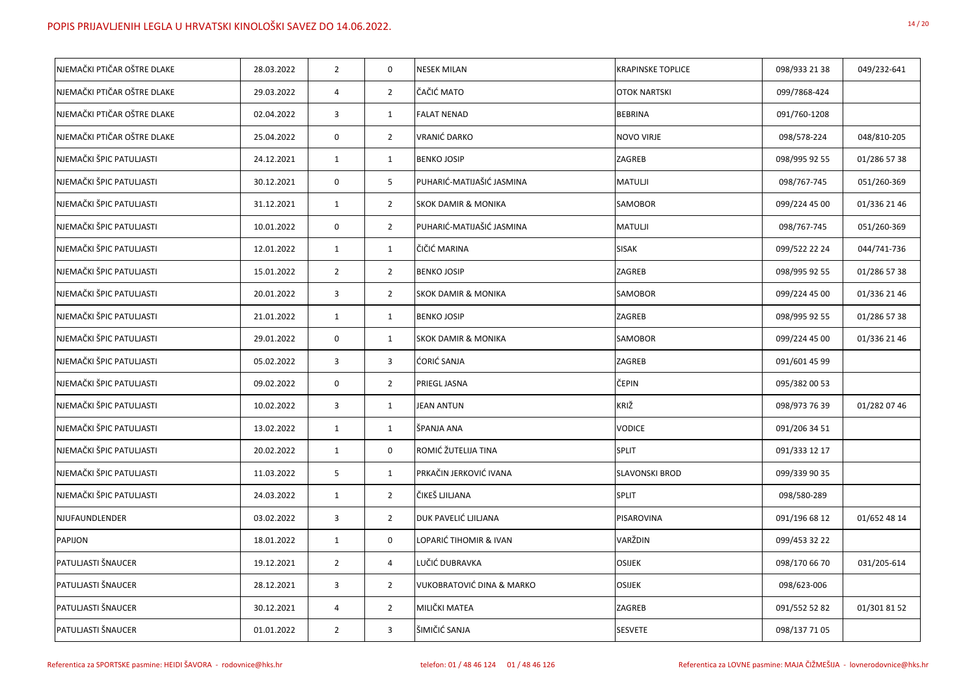| NJEMAČKI PTIČAR OŠTRE DLAKE | 28.03.2022 | $\overline{2}$ | $\mathbf 0$     | <b>NESEK MILAN</b>                   | <b>KRAPINSKE TOPLICE</b> | 098/933 21 38 | 049/232-641  |
|-----------------------------|------------|----------------|-----------------|--------------------------------------|--------------------------|---------------|--------------|
| NJEMAČKI PTIČAR OŠTRE DLAKE | 29.03.2022 | 4              | $\overline{2}$  | ČAČIĆ MATO                           | <b>OTOK NARTSKI</b>      | 099/7868-424  |              |
| NJEMAČKI PTIČAR OŠTRE DLAKE | 02.04.2022 | 3              | $\mathbf{1}$    | <b>FALAT NENAD</b>                   | <b>BEBRINA</b>           | 091/760-1208  |              |
| NJEMAČKI PTIČAR OŠTRE DLAKE | 25.04.2022 | $\mathbf 0$    | $\overline{2}$  | VRANIĆ DARKO                         | <b>NOVO VIRJE</b>        | 098/578-224   | 048/810-205  |
| NJEMAČKI ŠPIC PATULJASTI    | 24.12.2021 | $\mathbf{1}$   | $\mathbf{1}$    | <b>BENKO JOSIP</b>                   | ZAGREB                   | 098/995 92 55 | 01/286 57 38 |
| NJEMAČKI ŠPIC PATULJASTI    | 30.12.2021 | 0              | $5\overline{)}$ | PUHARIĆ-MATIJAŠIĆ JASMINA            | <b>MATULJI</b>           | 098/767-745   | 051/260-369  |
| NJEMAČKI ŠPIC PATULJASTI    | 31.12.2021 | $\mathbf{1}$   | $\overline{2}$  | <b>SKOK DAMIR &amp; MONIKA</b>       | <b>SAMOBOR</b>           | 099/224 45 00 | 01/336 21 46 |
| NJEMAČKI ŠPIC PATULJASTI    | 10.01.2022 | $\mathbf 0$    | $\overline{2}$  | PUHARIĆ-MATIJAŠIĆ JASMINA            | <b>MATULJI</b>           | 098/767-745   | 051/260-369  |
| NJEMAČKI ŠPIC PATULJASTI    | 12.01.2022 | $\mathbf{1}$   | $\mathbf{1}$    | ČIČIĆ MARINA                         | <b>SISAK</b>             | 099/522 22 24 | 044/741-736  |
| NJEMAČKI ŠPIC PATULJASTI    | 15.01.2022 | $\overline{2}$ | $\overline{2}$  | <b>BENKO JOSIP</b>                   | <b>ZAGREB</b>            | 098/995 92 55 | 01/286 57 38 |
| NJEMAČKI ŠPIC PATULJASTI    | 20.01.2022 | 3              | $\overline{2}$  | <b>SKOK DAMIR &amp; MONIKA</b>       | <b>SAMOBOR</b>           | 099/224 45 00 | 01/336 21 46 |
| NJEMAČKI ŠPIC PATULJASTI    | 21.01.2022 | $\mathbf{1}$   | $\mathbf{1}$    | <b>BENKO JOSIP</b>                   | ZAGREB                   | 098/995 92 55 | 01/286 57 38 |
| NJEMAČKI ŠPIC PATULJASTI    | 29.01.2022 | 0              | $\mathbf{1}$    | <b>SKOK DAMIR &amp; MONIKA</b>       | <b>SAMOBOR</b>           | 099/224 45 00 | 01/336 21 46 |
| NJEMAČKI ŠPIC PATULJASTI    | 05.02.2022 | 3              | $\mathbf{3}$    | ĆORIĆ SANJA                          | <b>ZAGREB</b>            | 091/601 45 99 |              |
| NJEMAČKI ŠPIC PATULJASTI    | 09.02.2022 | 0              | $\overline{2}$  | <b>PRIEGL JASNA</b>                  | ČEPIN                    | 095/382 00 53 |              |
| NJEMAČKI ŠPIC PATULJASTI    | 10.02.2022 | 3              | $\mathbf{1}$    | <b>JEAN ANTUN</b>                    | KRIŽ                     | 098/973 76 39 | 01/282 07 46 |
| NJEMAČKI ŠPIC PATULJASTI    | 13.02.2022 | $\mathbf{1}$   | 1               | ŠPANJA ANA                           | <b>VODICE</b>            | 091/206 34 51 |              |
| NJEMAČKI ŠPIC PATULJASTI    | 20.02.2022 | $\mathbf{1}$   | $\mathbf 0$     | ROMIĆ ŽUTELIJA TINA                  | <b>SPLIT</b>             | 091/333 12 17 |              |
| NJEMAČKI ŠPIC PATULJASTI    | 11.03.2022 | 5              | $\mathbf{1}$    | PRKAČIN JERKOVIĆ IVANA               | <b>SLAVONSKI BROD</b>    | 099/339 90 35 |              |
| NJEMAČKI ŠPIC PATULJASTI    | 24.03.2022 | $\mathbf{1}$   | $\overline{2}$  | ČIKEŠ LJILJANA                       | <b>SPLIT</b>             | 098/580-289   |              |
| NJUFAUNDLENDER              | 03.02.2022 | 3              | $\overline{2}$  | <b>DUK PAVELIĆ LJILJANA</b>          | PISAROVINA               | 091/196 68 12 | 01/652 48 14 |
| <b>PAPIJON</b>              | 18.01.2022 | $\mathbf{1}$   | $\mathbf 0$     | LOPARIĆ TIHOMIR & IVAN               | VARŽDIN                  | 099/453 32 22 |              |
| PATULJASTI ŠNAUCER          | 19.12.2021 | $\overline{2}$ | $\overline{4}$  | LUČIĆ DUBRAVKA                       | <b>OSIJEK</b>            | 098/170 66 70 | 031/205-614  |
| PATULJASTI ŠNAUCER          | 28.12.2021 | 3              | $\overline{2}$  | <b>VUKOBRATOVIĆ DINA &amp; MARKO</b> | <b>OSIJEK</b>            | 098/623-006   |              |
| PATULJASTI ŠNAUCER          | 30.12.2021 | 4              | $\overline{2}$  | MILIČKI MATEA                        | ZAGREB                   | 091/552 52 82 | 01/301 81 52 |
| PATULJASTI ŠNAUCER          | 01.01.2022 | $\overline{2}$ | $\mathbf{3}$    | ŠIMIČIĆ SANJA                        | <b>SESVETE</b>           | 098/137 71 05 |              |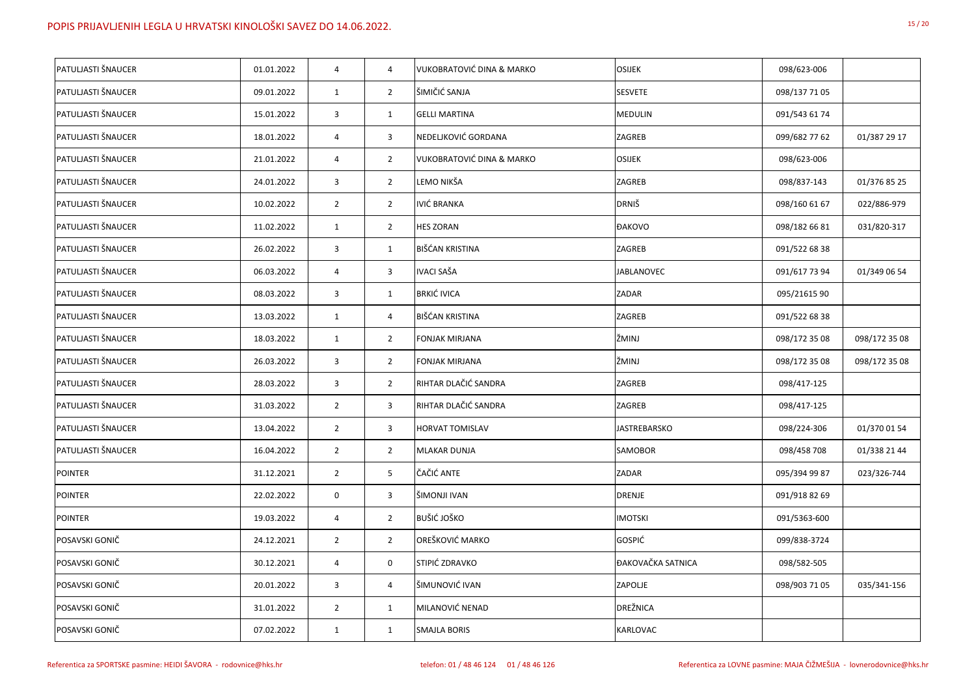| PATULJASTI ŠNAUCER        | 01.01.2022 | 4              | $\overline{4}$ | <b>VUKOBRATOVIĆ DINA &amp; MARKO</b> | <b>OSIJEK</b>       | 098/623-006   |               |
|---------------------------|------------|----------------|----------------|--------------------------------------|---------------------|---------------|---------------|
| PATULJASTI ŠNAUCER        | 09.01.2022 | $\mathbf{1}$   | $2^{\circ}$    | ŠIMIČIĆ SANJA                        | <b>SESVETE</b>      | 098/137 71 05 |               |
| <b>PATULJASTI ŠNAUCER</b> | 15.01.2022 | $\mathbf{3}$   | $\mathbf{1}$   | <b>GELLI MARTINA</b>                 | <b>MEDULIN</b>      | 091/543 61 74 |               |
| PATULJASTI ŠNAUCER        | 18.01.2022 | 4              | $\mathbf{3}$   | NEDELJKOVIĆ GORDANA                  | <b>ZAGREB</b>       | 099/682 77 62 | 01/387 29 17  |
| PATULJASTI ŠNAUCER        | 21.01.2022 | 4              | $\overline{2}$ | <b>VUKOBRATOVIĆ DINA &amp; MARKO</b> | <b>OSIJEK</b>       | 098/623-006   |               |
| PATULJASTI ŠNAUCER        | 24.01.2022 | $\mathbf{3}$   | $2^{\circ}$    | LEMO NIKŠA                           | ZAGREB              | 098/837-143   | 01/376 85 25  |
| <b>PATULJASTI ŠNAUCER</b> | 10.02.2022 | $\overline{2}$ | $2^{\circ}$    | IVIĆ BRANKA                          | <b>DRNIŠ</b>        | 098/160 61 67 | 022/886-979   |
| PATULJASTI ŠNAUCER        | 11.02.2022 | $\mathbf{1}$   | $\overline{2}$ | <b>HES ZORAN</b>                     | <b>ĐAKOVO</b>       | 098/182 66 81 | 031/820-317   |
| PATULJASTI ŠNAUCER        | 26.02.2022 | $\mathbf{3}$   | $\mathbf{1}$   | <b>BIŠĆAN KRISTINA</b>               | <b>ZAGREB</b>       | 091/522 68 38 |               |
| PATULJASTI ŠNAUCER        | 06.03.2022 | 4              | 3              | <b>IVACI SAŠA</b>                    | <b>JABLANOVEC</b>   | 091/617 73 94 | 01/349 06 54  |
| PATULJASTI ŠNAUCER        | 08.03.2022 | $\overline{3}$ | $\mathbf{1}$   | <b>BRKIĆ IVICA</b>                   | ZADAR               | 095/21615 90  |               |
| PATULJASTI ŠNAUCER        | 13.03.2022 | $\mathbf{1}$   | 4              | <b>BIŠĆAN KRISTINA</b>               | ZAGREB              | 091/522 68 38 |               |
| <b>PATULJASTI ŠNAUCER</b> | 18.03.2022 | $\mathbf{1}$   | $\overline{2}$ | <b>FONJAK MIRJANA</b>                | ŽMINJ               | 098/172 35 08 | 098/172 35 08 |
| PATULJASTI ŠNAUCER        | 26.03.2022 | $\mathbf{3}$   | $2^{\circ}$    | <b>FONJAK MIRJANA</b>                | ŽMINJ               | 098/172 35 08 | 098/172 35 08 |
| PATULJASTI ŠNAUCER        | 28.03.2022 | $\mathbf{3}$   | $2^{\circ}$    | RIHTAR DLAČIĆ SANDRA                 | ZAGREB              | 098/417-125   |               |
| <b>PATULJASTI ŠNAUCER</b> | 31.03.2022 | $\overline{2}$ | $\mathbf{3}$   | RIHTAR DLAČIĆ SANDRA                 | ZAGREB              | 098/417-125   |               |
| PATULJASTI ŠNAUCER        | 13.04.2022 | $\overline{2}$ | 3              | <b>HORVAT TOMISLAV</b>               | <b>JASTREBARSKO</b> | 098/224-306   | 01/370 01 54  |
| PATULJASTI ŠNAUCER        | 16.04.2022 | $\overline{2}$ | $2^{\circ}$    | <b>MLAKAR DUNJA</b>                  | SAMOBOR             | 098/458 708   | 01/338 21 44  |
| <b>POINTER</b>            | 31.12.2021 | $\overline{2}$ | 5              | ČAČIĆ ANTE                           | ZADAR               | 095/394 99 87 | 023/326-744   |
| <b>POINTER</b>            | 22.02.2022 | $\mathbf 0$    | $\mathbf{3}$   | ŠIMONJI IVAN                         | <b>DRENJE</b>       | 091/918 82 69 |               |
| <b>POINTER</b>            | 19.03.2022 | 4              | $2^{\circ}$    | <b>BUŠIĆ JOŠKO</b>                   | <b>IMOTSKI</b>      | 091/5363-600  |               |
| POSAVSKI GONIČ            | 24.12.2021 | $\overline{2}$ | $\overline{2}$ | OREŠKOVIĆ MARKO                      | <b>GOSPIĆ</b>       | 099/838-3724  |               |
| POSAVSKI GONIČ            | 30.12.2021 | $\overline{4}$ | 0              | STIPIĆ ZDRAVKO                       | ĐAKOVAČKA SATNICA   | 098/582-505   |               |
| POSAVSKI GONIČ            | 20.01.2022 | $\mathbf{3}$   | $\overline{4}$ | ŠIMUNOVIĆ IVAN                       | <b>ZAPOLJE</b>      | 098/903 71 05 | 035/341-156   |
| POSAVSKI GONIČ            | 31.01.2022 | $\overline{2}$ | $\mathbf{1}$   | MILANOVIĆ NENAD                      | <b>DREŽNICA</b>     |               |               |
| POSAVSKI GONIČ            | 07.02.2022 | $\mathbf{1}$   | $\mathbf{1}$   | <b>SMAJLA BORIS</b>                  | <b>KARLOVAC</b>     |               |               |
|                           |            |                |                |                                      |                     |               |               |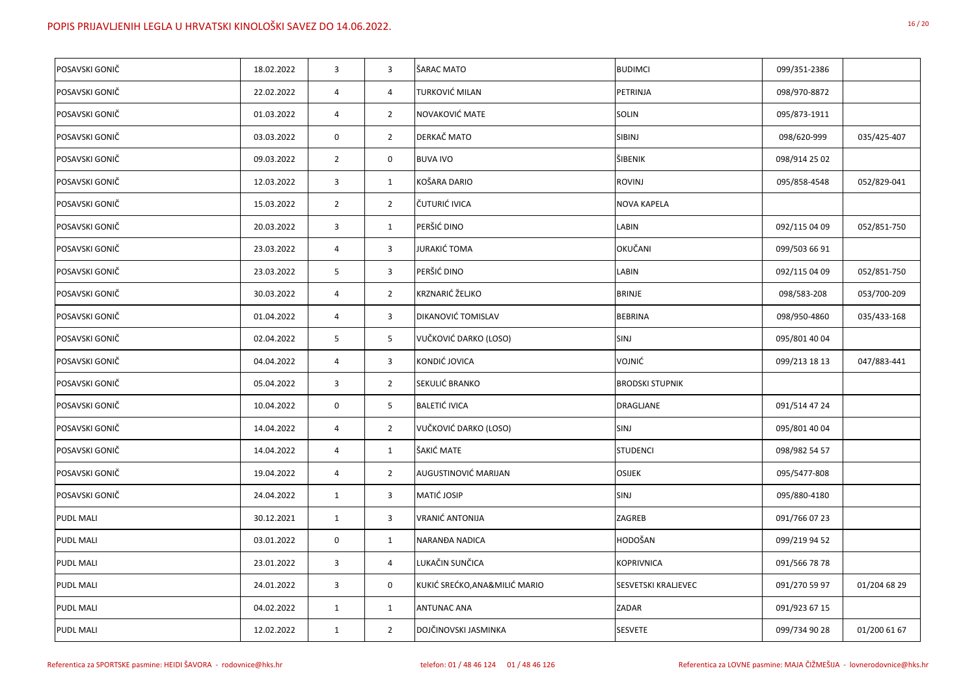| POSAVSKI GONIČ   | 18.02.2022 | 3              | $\mathbf{3}$   | ŠARAC MATO                    | <b>BUDIMCI</b>             | 099/351-2386  |              |
|------------------|------------|----------------|----------------|-------------------------------|----------------------------|---------------|--------------|
| POSAVSKI GONIČ   | 22.02.2022 | 4              | 4              | <b>TURKOVIĆ MILAN</b>         | PETRINJA                   | 098/970-8872  |              |
| POSAVSKI GONIČ   | 01.03.2022 | 4              | $\overline{2}$ | NOVAKOVIĆ MATE                | <b>SOLIN</b>               | 095/873-1911  |              |
| POSAVSKI GONIČ   | 03.03.2022 | $\mathbf 0$    | $\overline{2}$ | DERKAČ MATO                   | SIBINJ                     | 098/620-999   | 035/425-407  |
| POSAVSKI GONIČ   | 09.03.2022 | $\overline{2}$ | $\mathbf 0$    | <b>BUVA IVO</b>               | ŠIBENIK                    | 098/914 25 02 |              |
| POSAVSKI GONIČ   | 12.03.2022 | $\mathbf{3}$   | $\mathbf{1}$   | KOŠARA DARIO                  | <b>ROVINJ</b>              | 095/858-4548  | 052/829-041  |
| POSAVSKI GONIČ   | 15.03.2022 | $\overline{2}$ | $\overline{2}$ | ČUTURIĆ IVICA                 | <b>NOVA KAPELA</b>         |               |              |
| POSAVSKI GONIČ   | 20.03.2022 | 3              | $\mathbf{1}$   | PERŠIĆ DINO                   | LABIN                      | 092/115 04 09 | 052/851-750  |
| POSAVSKI GONIČ   | 23.03.2022 | 4              | $\mathbf{3}$   | <b>JURAKIĆ TOMA</b>           | OKUČANI                    | 099/503 66 91 |              |
| POSAVSKI GONIČ   | 23.03.2022 | 5              | 3              | PERŠIĆ DINO                   | <b>LABIN</b>               | 092/115 04 09 | 052/851-750  |
| POSAVSKI GONIČ   | 30.03.2022 | 4              | $\overline{2}$ | <b>KRZNARIĆ ŽELJKO</b>        | <b>BRINJE</b>              | 098/583-208   | 053/700-209  |
| POSAVSKI GONIČ   | 01.04.2022 | 4              | 3              | <b>DIKANOVIĆ TOMISLAV</b>     | <b>BEBRINA</b>             | 098/950-4860  | 035/433-168  |
| POSAVSKI GONIČ   | 02.04.2022 | $5\phantom{.}$ | 5              | VUČKOVIĆ DARKO (LOSO)         | SINJ                       | 095/801 40 04 |              |
| POSAVSKI GONIČ   | 04.04.2022 | 4              | 3              | KONDIĆ JOVICA                 | VOJNIĆ                     | 099/213 18 13 | 047/883-441  |
| POSAVSKI GONIČ   | 05.04.2022 | $\mathbf{3}$   | $\overline{2}$ | SEKULIĆ BRANKO                | <b>BRODSKI STUPNIK</b>     |               |              |
| POSAVSKI GONIČ   | 10.04.2022 | $\mathbf 0$    | 5              | <b>BALETIĆ IVICA</b>          | <b>DRAGLIANE</b>           | 091/514 47 24 |              |
| POSAVSKI GONIČ   | 14.04.2022 | 4              | $\overline{2}$ | VUČKOVIĆ DARKO (LOSO)         | SINJ                       | 095/801 40 04 |              |
| POSAVSKI GONIČ   | 14.04.2022 | 4              | $\mathbf{1}$   | ŠAKIĆ MATE                    | <b>STUDENCI</b>            | 098/982 54 57 |              |
| POSAVSKI GONIČ   | 19.04.2022 | 4              | $2^{\circ}$    | <b>AUGUSTINOVIĆ MARIJAN</b>   | <b>OSIJEK</b>              | 095/5477-808  |              |
| POSAVSKI GONIČ   | 24.04.2022 | $\mathbf{1}$   | $\mathbf{3}$   | MATIĆ JOSIP                   | SINJ                       | 095/880-4180  |              |
| <b>PUDL MALI</b> | 30.12.2021 | $\mathbf{1}$   | 3              | <b>VRANIĆ ANTONIJA</b>        | ZAGREB                     | 091/766 07 23 |              |
| <b>PUDL MALI</b> | 03.01.2022 | $\mathbf 0$    | $\mathbf{1}$   | NARANĐA NADICA                | HODOŠAN                    | 099/219 94 52 |              |
| <b>PUDL MALI</b> | 23.01.2022 | $\mathbf{3}$   | $\overline{4}$ | LUKAČIN SUNČICA               | <b>KOPRIVNICA</b>          | 091/566 78 78 |              |
| <b>PUDL MALI</b> | 24.01.2022 | $\mathbf{3}$   | $\mathsf{O}$   | KUKIĆ SREĆKO, ANA&MILIĆ MARIO | <b>SESVETSKI KRALJEVEC</b> | 091/270 59 97 | 01/204 68 29 |
| <b>PUDL MALI</b> | 04.02.2022 | $\mathbf{1}$   | $\mathbf{1}$   | <b>ANTUNAC ANA</b>            | ZADAR                      | 091/923 67 15 |              |
| <b>PUDL MALI</b> | 12.02.2022 | $\mathbf{1}$   | $\overline{2}$ | DOJČINOVSKI JASMINKA          | <b>SESVETE</b>             | 099/734 90 28 | 01/200 61 67 |
|                  |            |                |                |                               |                            |               |              |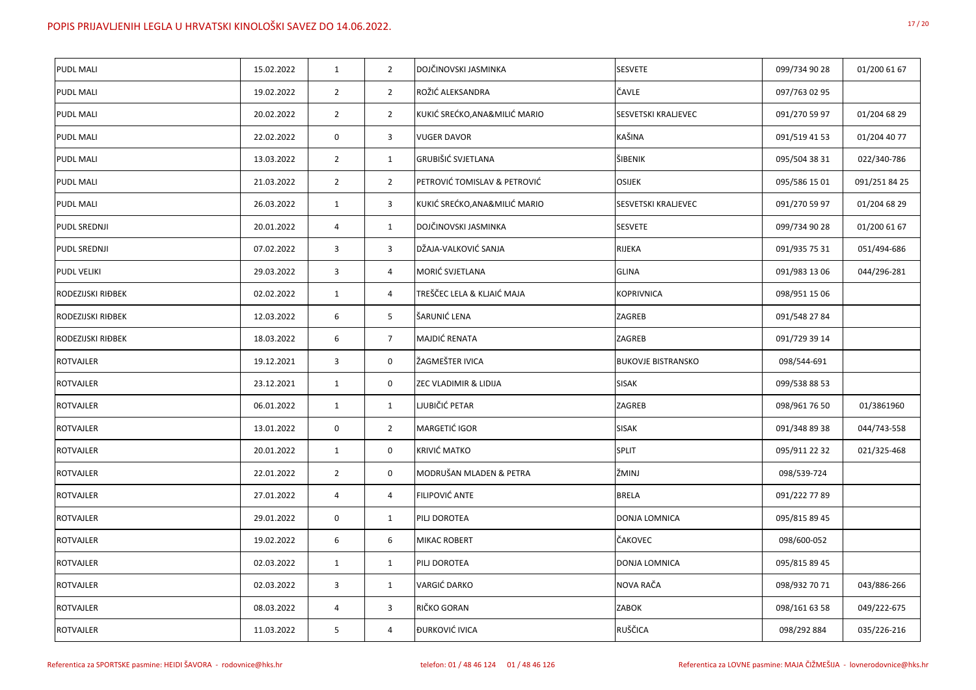| <b>PUDL MALI</b>         | 15.02.2022 | $\mathbf{1}$   | $\overline{2}$ | DOJČINOVSKI JASMINKA             | <b>SESVETE</b>            | 099/734 90 28 | 01/200 61 67  |
|--------------------------|------------|----------------|----------------|----------------------------------|---------------------------|---------------|---------------|
| <b>PUDL MALI</b>         | 19.02.2022 | $\overline{2}$ | $2^{\circ}$    | ROŽIĆ ALEKSANDRA                 | ČAVLE                     | 097/763 02 95 |               |
| <b>PUDL MALI</b>         | 20.02.2022 | $\overline{2}$ | $2^{\circ}$    | KUKIĆ SREĆKO, ANA&MILIĆ MARIO    | SESVETSKI KRALJEVEC       | 091/270 59 97 | 01/204 68 29  |
| <b>PUDL MALI</b>         | 22.02.2022 | $\mathbf 0$    | $\mathbf{3}$   | <b>VUGER DAVOR</b>               | KAŠINA                    | 091/519 41 53 | 01/204 40 77  |
| <b>PUDL MALI</b>         | 13.03.2022 | $\overline{2}$ | $\mathbf{1}$   | <b>GRUBIŠIĆ SVJETLANA</b>        | ŠIBENIK                   | 095/504 38 31 | 022/340-786   |
| <b>PUDL MALI</b>         | 21.03.2022 | $\overline{2}$ | $\overline{2}$ | PETROVIĆ TOMISLAV & PETROVIĆ     | <b>OSIJEK</b>             | 095/586 15 01 | 091/251 84 25 |
| <b>PUDL MALI</b>         | 26.03.2022 | $\mathbf{1}$   | 3              | KUKIĆ SREĆKO, ANA&MILIĆ MARIO    | SESVETSKI KRALJEVEC       | 091/270 59 97 | 01/204 68 29  |
| <b>PUDL SREDNJI</b>      | 20.01.2022 | $\overline{4}$ | $\mathbf{1}$   | DOJČINOVSKI JASMINKA             | <b>SESVETE</b>            | 099/734 90 28 | 01/200 61 67  |
| <b>PUDL SREDNJI</b>      | 07.02.2022 | $\overline{3}$ | $\mathbf{3}$   | DŽAJA-VALKOVIĆ SANJA             | <b>RIJEKA</b>             | 091/935 75 31 | 051/494-686   |
| <b>PUDL VELIKI</b>       | 29.03.2022 | $\overline{3}$ | 4              | MORIĆ SVJETLANA                  | <b>GLINA</b>              | 091/983 13 06 | 044/296-281   |
| <b>RODEZIJSKI RIĐBEK</b> | 02.02.2022 | $\mathbf{1}$   | $\overline{4}$ | TREŠČEC LELA & KLJAIĆ MAJA       | <b>KOPRIVNICA</b>         | 098/951 15 06 |               |
| <b>RODEZIJSKI RIĐBEK</b> | 12.03.2022 | 6              | 5              | ŠARUNIĆ LENA                     | ZAGREB                    | 091/548 27 84 |               |
| <b>RODEZIJSKI RIĐBEK</b> | 18.03.2022 | 6              | $\overline{7}$ | MAJDIĆ RENATA                    | ZAGREB                    | 091/729 39 14 |               |
| <b>ROTVAJLER</b>         | 19.12.2021 | $\overline{3}$ | $\mathbf 0$    | ŽAGMEŠTER IVICA                  | <b>BUKOVJE BISTRANSKO</b> | 098/544-691   |               |
| ROTVAJLER                | 23.12.2021 | $\mathbf{1}$   | $\mathbf 0$    | <b>ZEC VLADIMIR &amp; LIDIJA</b> | <b>SISAK</b>              | 099/538 88 53 |               |
| <b>ROTVAJLER</b>         | 06.01.2022 | $\mathbf{1}$   | $\mathbf{1}$   | <b>LJUBIČIĆ PETAR</b>            | ZAGREB                    | 098/961 76 50 | 01/3861960    |
| ROTVAJLER                | 13.01.2022 | $\mathbf 0$    | $2^{\circ}$    | MARGETIĆ IGOR                    | <b>SISAK</b>              | 091/348 89 38 | 044/743-558   |
| <b>ROTVAJLER</b>         | 20.01.2022 | $\mathbf{1}$   | $\mathbf 0$    | <b>KRIVIĆ MATKO</b>              | <b>SPLIT</b>              | 095/911 22 32 | 021/325-468   |
| <b>ROTVAJLER</b>         | 22.01.2022 | $\overline{2}$ | $\mathbf 0$    | MODRUŠAN MLADEN & PETRA          | ŽMINJ                     | 098/539-724   |               |
| <b>ROTVAJLER</b>         | 27.01.2022 | $\overline{4}$ | 4              | FILIPOVIĆ ANTE                   | <b>BRELA</b>              | 091/222 77 89 |               |
| <b>ROTVAJLER</b>         | 29.01.2022 | $\mathbf 0$    | $\mathbf{1}$   | PILJ DOROTEA                     | DONJA LOMNICA             | 095/815 89 45 |               |
| <b>ROTVAJLER</b>         | 19.02.2022 | 6              | 6              | <b>MIKAC ROBERT</b>              | ČAKOVEC                   | 098/600-052   |               |
| <b>ROTVAJLER</b>         | 02.03.2022 | $\mathbf{1}$   | $\mathbf{1}$   | PILJ DOROTEA                     | <b>DONJA LOMNICA</b>      | 095/815 89 45 |               |
| ROTVAJLER                | 02.03.2022 | $\overline{3}$ | $\mathbf{1}$   | VARGIĆ DARKO                     | NOVA RAČA                 | 098/932 70 71 | 043/886-266   |
| <b>ROTVAJLER</b>         | 08.03.2022 | $\overline{4}$ | $\mathbf{3}$   | RIČKO GORAN                      | <b>ZABOK</b>              | 098/161 63 58 | 049/222-675   |
| ROTVAJLER                | 11.03.2022 | $5\phantom{.}$ | 4              | <b>ĐURKOVIĆ IVICA</b>            | RUŠČICA                   | 098/292 884   | 035/226-216   |
|                          |            |                |                |                                  |                           |               |               |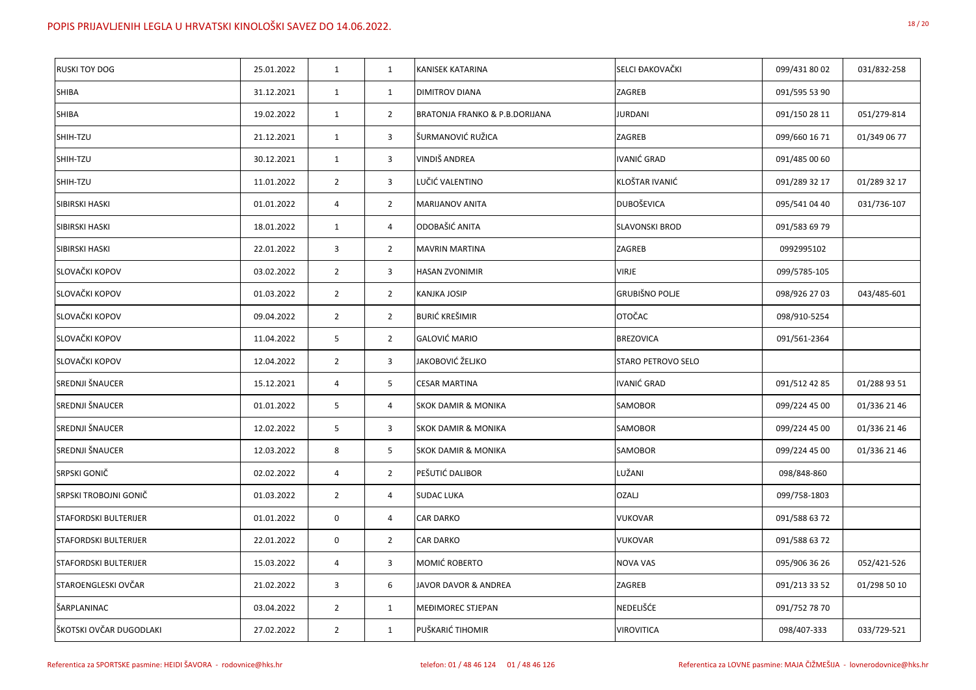| <b>RUSKI TOY DOG</b>         | 25.01.2022 | $\mathbf{1}$   | $\mathbf{1}$   | <b>KANISEK KATARINA</b>                   | SELCI ĐAKOVAČKI           | 099/431 80 02 | 031/832-258  |
|------------------------------|------------|----------------|----------------|-------------------------------------------|---------------------------|---------------|--------------|
| <b>SHIBA</b>                 | 31.12.2021 | $\mathbf{1}$   | $\mathbf{1}$   | <b>DIMITROV DIANA</b>                     | <b>ZAGREB</b>             | 091/595 53 90 |              |
| <b>SHIBA</b>                 | 19.02.2022 | $\mathbf{1}$   | $\overline{2}$ | <b>BRATONJA FRANKO &amp; P.B.DORIJANA</b> | <b>JURDANI</b>            | 091/150 28 11 | 051/279-814  |
| SHIH-TZU                     | 21.12.2021 | $\mathbf{1}$   | 3              | ŠURMANOVIĆ RUŽICA                         | <b>ZAGREB</b>             | 099/660 16 71 | 01/349 06 77 |
| SHIH-TZU                     | 30.12.2021 | $\mathbf{1}$   | 3              | <b>VINDIŠ ANDREA</b>                      | IVANIĆ GRAD               | 091/485 00 60 |              |
| SHIH-TZU                     | 11.01.2022 | $\overline{2}$ | $\mathbf{3}$   | LUČIĆ VALENTINO                           | KLOŠTAR IVANIĆ            | 091/289 32 17 | 01/289 32 17 |
| <b>SIBIRSKI HASKI</b>        | 01.01.2022 | 4              | $\overline{2}$ | <b>MARIJANOV ANITA</b>                    | <b>DUBOŠEVICA</b>         | 095/541 04 40 | 031/736-107  |
| <b>SIBIRSKI HASKI</b>        | 18.01.2022 | $\mathbf{1}$   | $\overline{4}$ | ODOBAŠIĆ ANITA                            | <b>SLAVONSKI BROD</b>     | 091/583 69 79 |              |
| <b>SIBIRSKI HASKI</b>        | 22.01.2022 | 3              | $\overline{2}$ | <b>MAVRIN MARTINA</b>                     | <b>ZAGREB</b>             | 0992995102    |              |
| SLOVAČKI KOPOV               | 03.02.2022 | $\overline{2}$ | 3              | <b>HASAN ZVONIMIR</b>                     | <b>VIRJE</b>              | 099/5785-105  |              |
| SLOVAČKI KOPOV               | 01.03.2022 | $\overline{2}$ | $\overline{2}$ | <b>KANJKA JOSIP</b>                       | <b>GRUBIŠNO POLJE</b>     | 098/926 27 03 | 043/485-601  |
| SLOVAČKI KOPOV               | 09.04.2022 | $\overline{2}$ | $\overline{2}$ | <b>BURIĆ KREŠIMIR</b>                     | <b>OTOČAC</b>             | 098/910-5254  |              |
| SLOVAČKI KOPOV               | 11.04.2022 | 5 <sub>1</sub> | $\overline{2}$ | <b>GALOVIĆ MARIO</b>                      | <b>BREZOVICA</b>          | 091/561-2364  |              |
| SLOVAČKI KOPOV               | 12.04.2022 | $\overline{2}$ | $\mathbf{3}$   | <b>JAKOBOVIĆ ŽELJKO</b>                   | <b>STARO PETROVO SELO</b> |               |              |
| SREDNJI ŠNAUCER              | 15.12.2021 | 4              | 5              | <b>CESAR MARTINA</b>                      | IVANIĆ GRAD               | 091/512 42 85 | 01/288 93 51 |
| <b>SREDNJI ŠNAUCER</b>       | 01.01.2022 | 5              | 4              | <b>SKOK DAMIR &amp; MONIKA</b>            | <b>SAMOBOR</b>            | 099/224 45 00 | 01/336 21 46 |
| <b>SREDNJI ŠNAUCER</b>       | 12.02.2022 | 5              | 3              | <b>SKOK DAMIR &amp; MONIKA</b>            | <b>SAMOBOR</b>            | 099/224 45 00 | 01/336 21 46 |
| SREDNJI ŠNAUCER              | 12.03.2022 | 8              | 5              | <b>SKOK DAMIR &amp; MONIKA</b>            | SAMOBOR                   | 099/224 45 00 | 01/336 21 46 |
| <b>SRPSKI GONIČ</b>          | 02.02.2022 | $\overline{4}$ | $\overline{2}$ | PEŠUTIĆ DALIBOR                           | LUŽANI                    | 098/848-860   |              |
| SRPSKI TROBOJNI GONIČ        | 01.03.2022 | $\overline{2}$ | 4              | <b>SUDAC LUKA</b>                         | <b>OZALJ</b>              | 099/758-1803  |              |
| <b>STAFORDSKI BULTERIJER</b> | 01.01.2022 | 0              | 4              | <b>CAR DARKO</b>                          | <b>VUKOVAR</b>            | 091/588 63 72 |              |
| <b>STAFORDSKI BULTERIJER</b> | 22.01.2022 | $\mathbf 0$    | $\overline{2}$ | <b>CAR DARKO</b>                          | <b>VUKOVAR</b>            | 091/588 63 72 |              |
| <b>STAFORDSKI BULTERIJER</b> | 15.03.2022 | $\overline{4}$ | $\mathbf{3}$   | MOMIĆ ROBERTO                             | NOVA VAS                  | 095/906 36 26 | 052/421-526  |
| STAROENGLESKI OVČAR          | 21.02.2022 | 3              | 6              | JAVOR DAVOR & ANDREA                      | <b>ZAGREB</b>             | 091/213 33 52 | 01/298 50 10 |
| ŠARPLANINAC                  | 03.04.2022 | $\overline{2}$ | $\mathbf{1}$   | MEĐIMOREC STJEPAN                         | NEDELIŠĆE                 | 091/752 78 70 |              |
| ŠKOTSKI OVČAR DUGODLAKI      | 27.02.2022 | $\overline{2}$ | $\mathbf{1}$   | PUŠKARIĆ TIHOMIR                          | <b>VIROVITICA</b>         | 098/407-333   | 033/729-521  |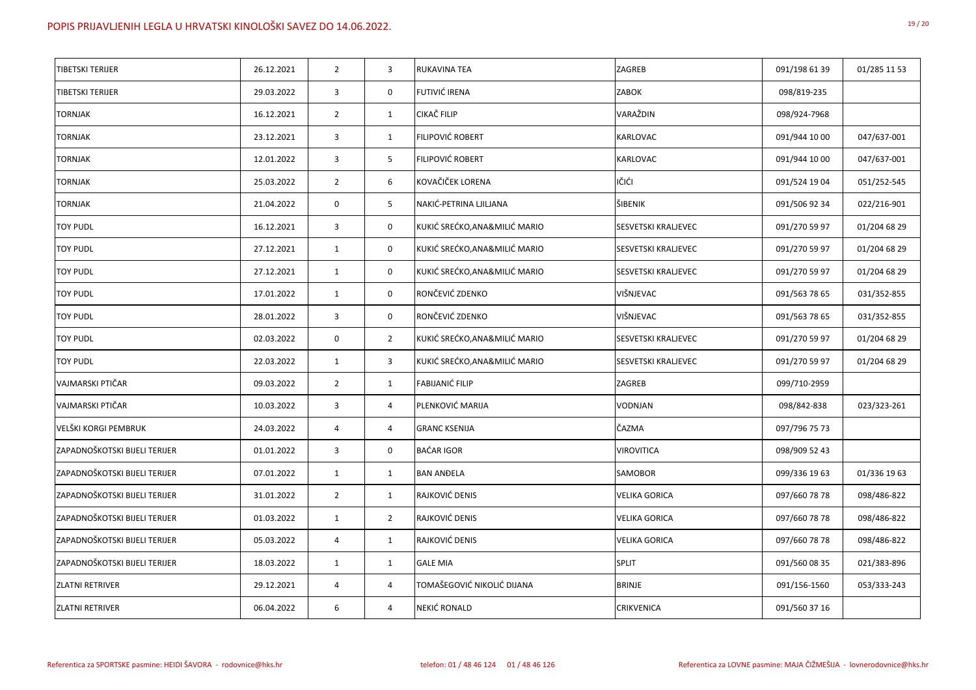| <b>TIBETSKI TERIJER</b>       | 26.12.2021 | $\overline{2}$ | 3              | RUKAVINA TEA                  | ZAGREB               | 091/198 61 39 | 01/285 11 53 |
|-------------------------------|------------|----------------|----------------|-------------------------------|----------------------|---------------|--------------|
| <b>TIBETSKI TERIJER</b>       | 29.03.2022 | $\overline{3}$ | $\mathbf 0$    | <b>FUTIVIĆ IRENA</b>          | <b>ZABOK</b>         | 098/819-235   |              |
| <b>TORNJAK</b>                | 16.12.2021 | $\overline{2}$ | $\mathbf{1}$   | <b>CIKAČ FILIP</b>            | VARAŽDIN             | 098/924-7968  |              |
| <b>TORNJAK</b>                | 23.12.2021 | 3              | $\mathbf{1}$   | FILIPOVIĆ ROBERT              | KARLOVAC             | 091/944 10 00 | 047/637-001  |
| <b>TORNJAK</b>                | 12.01.2022 | $\mathbf{3}$   | 5              | <b>FILIPOVIĆ ROBERT</b>       | KARLOVAC             | 091/944 10 00 | 047/637-001  |
| <b>TORNJAK</b>                | 25.03.2022 | $\overline{2}$ | 6              | KOVAČIČEK LORENA              | IČIĆI                | 091/524 19 04 | 051/252-545  |
| <b>TORNJAK</b>                | 21.04.2022 | $\mathbf 0$    | 5              | NAKIĆ-PETRINA LJILJANA        | ŠIBENIK              | 091/506 92 34 | 022/216-901  |
| <b>TOY PUDL</b>               | 16.12.2021 | 3              | $\mathbf 0$    | KUKIĆ SREĆKO, ANA&MILIĆ MARIO | SESVETSKI KRALJEVEC  | 091/270 59 97 | 01/204 68 29 |
| <b>TOY PUDL</b>               | 27.12.2021 | $\mathbf{1}$   | $\mathbf 0$    | KUKIĆ SREĆKO, ANA&MILIĆ MARIO | SESVETSKI KRALJEVEC  | 091/270 59 97 | 01/204 68 29 |
| <b>TOY PUDL</b>               | 27.12.2021 | $\mathbf{1}$   | $\mathbf 0$    | KUKIĆ SREĆKO, ANA&MILIĆ MARIO | SESVETSKI KRALJEVEC  | 091/270 59 97 | 01/204 68 29 |
| <b>TOY PUDL</b>               | 17.01.2022 | $\mathbf{1}$   | $\mathbf 0$    | RONČEVIĆ ZDENKO               | VIŠNJEVAC            | 091/563 78 65 | 031/352-855  |
| <b>TOY PUDL</b>               | 28.01.2022 | $\mathbf{3}$   | $\mathbf 0$    | RONČEVIĆ ZDENKO               | VIŠNJEVAC            | 091/563 78 65 | 031/352-855  |
| <b>TOY PUDL</b>               | 02.03.2022 | $\mathbf 0$    | $2^{\circ}$    | KUKIĆ SREĆKO, ANA&MILIĆ MARIO | SESVETSKI KRALJEVEC  | 091/270 59 97 | 01/204 68 29 |
| <b>TOY PUDL</b>               | 22.03.2022 | $\mathbf{1}$   | $\mathbf{3}$   | KUKIĆ SREĆKO, ANA&MILIĆ MARIO | SESVETSKI KRALJEVEC  | 091/270 59 97 | 01/204 68 29 |
| VAJMARSKI PTIČAR              | 09.03.2022 | $\overline{2}$ | $\mathbf{1}$   | <b>FABIJANIĆ FILIP</b>        | ZAGREB               | 099/710-2959  |              |
| VAJMARSKI PTIČAR              | 10.03.2022 | $\mathbf{3}$   | 4              | PLENKOVIĆ MARIJA              | VODNJAN              | 098/842-838   | 023/323-261  |
| VELŠKI KORGI PEMBRUK          | 24.03.2022 | 4              | 4              | <b>GRANC KSENIJA</b>          | ČAZMA                | 097/796 75 73 |              |
| ZAPADNOŠKOTSKI BIJELI TERIJER | 01.01.2022 | 3              | 0              | <b>BAĆAR IGOR</b>             | <b>VIROVITICA</b>    | 098/909 52 43 |              |
| ZAPADNOŠKOTSKI BIJELI TERIJER | 07.01.2022 | $\mathbf{1}$   | $\mathbf{1}$   | <b>BAN ANDELA</b>             | <b>SAMOBOR</b>       | 099/336 19 63 | 01/336 19 63 |
| ZAPADNOŠKOTSKI BIJELI TERIJER | 31.01.2022 | $\overline{2}$ | $\mathbf{1}$   | RAJKOVIĆ DENIS                | <b>VELIKA GORICA</b> | 097/660 78 78 | 098/486-822  |
| ZAPADNOŠKOTSKI BIJELI TERIJER | 01.03.2022 | $\mathbf{1}$   | $\overline{2}$ | RAJKOVIĆ DENIS                | <b>VELIKA GORICA</b> | 097/660 78 78 | 098/486-822  |
| ZAPADNOŠKOTSKI BIJELI TERIJER | 05.03.2022 | 4              | $\mathbf{1}$   | RAJKOVIĆ DENIS                | <b>VELIKA GORICA</b> | 097/660 78 78 | 098/486-822  |
| ZAPADNOŠKOTSKI BIJELI TERIJER | 18.03.2022 | $\mathbf{1}$   | $\mathbf{1}$   | <b>GALE MIA</b>               | <b>SPLIT</b>         | 091/560 08 35 | 021/383-896  |
| <b>ZLATNI RETRIVER</b>        | 29.12.2021 | 4              | $\overline{4}$ | TOMAŠEGOVIĆ NIKOLIĆ DIJANA    | <b>BRINJE</b>        | 091/156-1560  | 053/333-243  |
| <b>ZLATNI RETRIVER</b>        | 06.04.2022 | 6              | 4              | NEKIĆ RONALD                  | CRIKVENICA           | 091/560 37 16 |              |